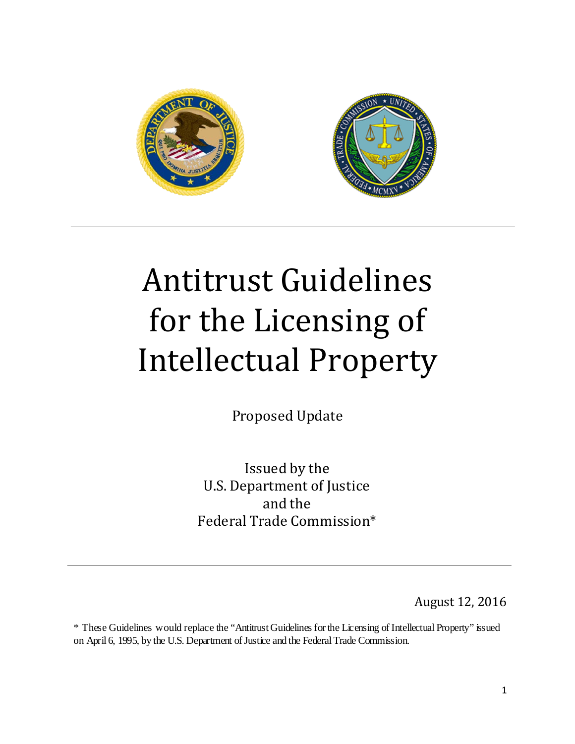

# Antitrust Guidelines for the Licensing of Intellectual Property

Proposed Update

<span id="page-0-0"></span>Issued by the U.S. Department of Justice and the Federal Trade Commission\*

August 12, 2016

\* These Guidelines would replace the "Antitrust Guidelines for the Licensing of Intellectual Property" issued on April 6, 1995, by the U.S. Department of Justice and the Federal Trade Commission.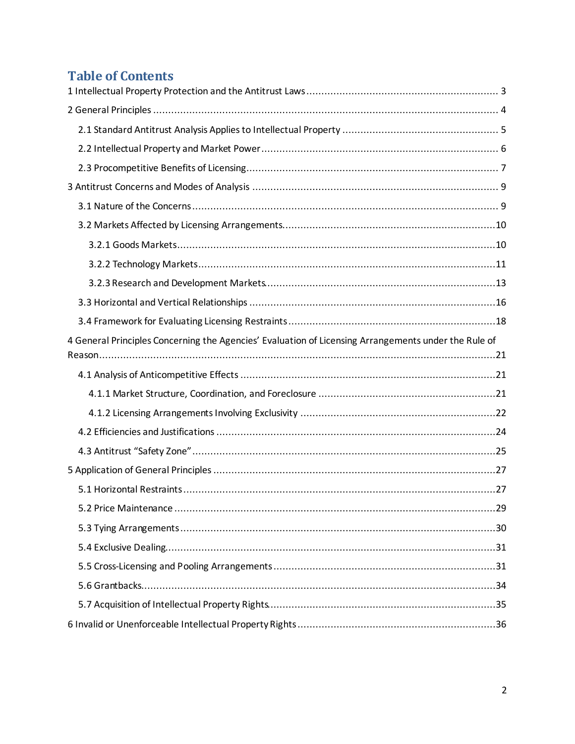# **Table of Contents**

| 4 General Principles Concerning the Agencies' Evaluation of Licensing Arrangements under the Rule of |
|------------------------------------------------------------------------------------------------------|
|                                                                                                      |
|                                                                                                      |
|                                                                                                      |
|                                                                                                      |
|                                                                                                      |
|                                                                                                      |
|                                                                                                      |
|                                                                                                      |
|                                                                                                      |
|                                                                                                      |
|                                                                                                      |
|                                                                                                      |
|                                                                                                      |
|                                                                                                      |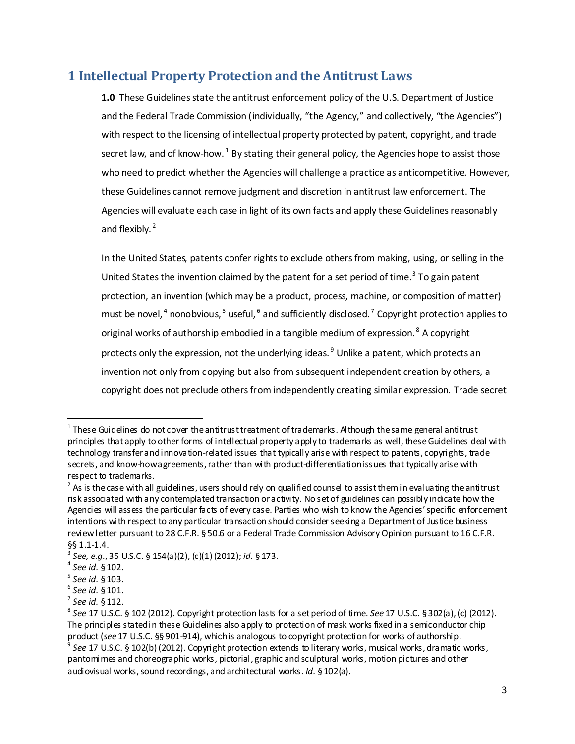# <span id="page-2-0"></span>**1 Intellectual Property Protection and the Antitrust Laws**

**1.0** These Guidelines state the antitrust enforcement policy of the U.S. Department of Justice and the Federal Trade Commission (individually, "the Agency," and collectively, "the Agencies") with respect to the licensing of intellectual property protected by patent, copyright, and trade secret law, and of know-how.<sup>[1](#page-0-0)</sup> By stating their general policy, the Agencies hope to assist those who need to predict whether the Agencies will challenge a practice as anticompetitive. However, these Guidelines cannot remove judgment and discretion in antitrust law enforcement. The Agencies will evaluate each case in light of its own facts and apply these Guidelines reasonably and flexibly.<sup>[2](#page-2-1)</sup>

In the United States, patents confer rights to exclude others from making, using, or selling in the United States the invention claimed by the patent for a set period of time.<sup>[3](#page-2-2)</sup> To gain patent protection, an invention (which may be a product, process, machine, or composition of matter) must be novel, <sup>[4](#page-2-3)</sup> nonobvious, <sup>[5](#page-2-4)</sup> useful, <sup>[6](#page-2-5)</sup> and sufficiently disclosed. <sup>[7](#page-2-6)</sup> Copyright protection applies to original works of authorship embodied in a tangible medium of expression.<sup>[8](#page-2-7)</sup> A copyright protects only the expression, not the underlying ideas.  $9$  Unlike a patent, which protects an invention not only from copying but also from subsequent independent creation by others, a copyright does not preclude others from independently creating similar expression. Trade secret

 $1$  These Guidelines do not cover the antitrust treatment of trademarks. Although the same general antitrust principles that apply to other forms of intellectual property apply to trademarks as well, these Guidelines deal with technology transfer and innovation-related issues that typically arise with respect to patents, copyrights, trade secrets, and know-how agreements, rather than with product-differentiation issues that typically arise with respect to trademarks.

<span id="page-2-1"></span> $2^2$  As is the case with all guidelines, users should rely on qualified counsel to assist them in evaluating the antitrust risk associated with any contemplated transaction or activity. No set of guidelines can possibly indicate how the Agencies will assess the particular facts of every case. Parties who wish to know the Agencies' specific enforcement intentions with respect to any particular transaction should consider seeking a Department of Justice business review letter pursuant to 28 C.F.R. § 50.6 or a Federal Trade Commission Advisory Opinion pursuant to 16 C.F.R.

<span id="page-2-2"></span><sup>§§</sup> 1.1-1.4. <sup>3</sup> *See, e.g.*, 35 U.S.C. § 154(a)(2), (c)(1) (2012); *id.* § 173. 4 *See id.* § 102.

<span id="page-2-3"></span>

<span id="page-2-6"></span><span id="page-2-5"></span>

<span id="page-2-7"></span>

<span id="page-2-4"></span><sup>&</sup>lt;sup>5</sup> See id. § 103.<br><sup>6</sup> See id. § 101.<br><sup>7</sup> See id. § 112. 8 102 (2012). Copyright protection lasts for a set period of time. *See* 17 U.S.C. § 302(a), (c) (2012). The principles stated in these Guidelines also apply to protection of mask works fixed in a semiconductor chip<br>product (see 17 U.S.C. §§ 901-914), which is analogous to copyright protection for works of authorship.

<span id="page-2-8"></span> $9$  See 17 U.S.C. § 102(b) (2012). Copyright protection extends to literary works, musical works, dramatic works, pantomimes and choreographic works, pictorial, graphic and sculptural works, motion pictures and other audiovisual works, sound recordings, and architectural works. *Id.* § 102(a).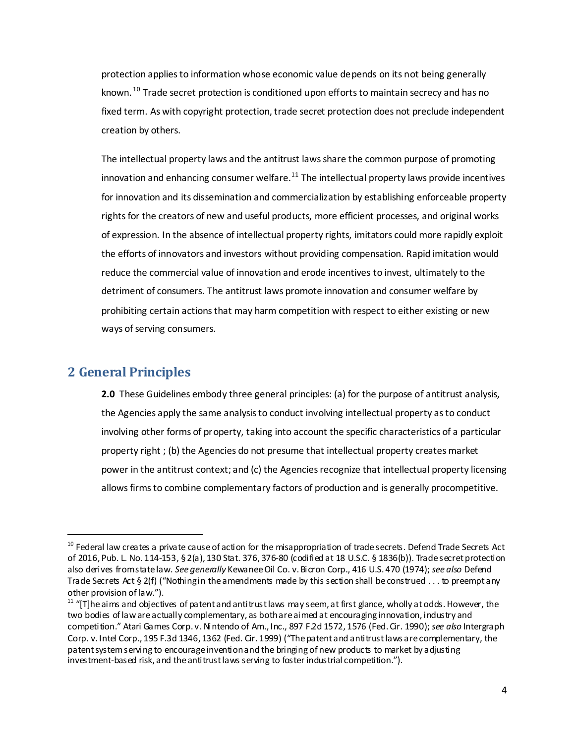protection applies to information whose economic value depends on its not being generally known. <sup>[10](#page-3-1)</sup> Trade secret protection is conditioned upon efforts to maintain secrecy and has no fixed term. As with copyright protection, trade secret protection does not preclude independent creation by others.

The intellectual property laws and the antitrust laws share the common purpose of promoting innovation and enhancing consumer welfare. $11$  The intellectual property laws provide incentives for innovation and its dissemination and commercialization by establishing enforceable property rights for the creators of new and useful products, more efficient processes, and original works of expression. In the absence of intellectual property rights, imitators could more rapidly exploit the efforts of innovators and investors without providing compensation. Rapid imitation would reduce the commercial value of innovation and erode incentives to invest, ultimately to the detriment of consumers. The antitrust laws promote innovation and consumer welfare by prohibiting certain actions that may harm competition with respect to either existing or new ways of serving consumers.

# <span id="page-3-0"></span>**2 General Principles**

 $\overline{a}$ 

**2.0** These Guidelines embody three general principles: (a) for the purpose of antitrust analysis, the Agencies apply the same analysis to conduct involving intellectual property as to conduct involving other forms of property, taking into account the specific characteristics of a particular property right ; (b) the Agencies do not presume that intellectual property creates market power in the antitrust context; and (c) the Agencies recognize that intellectual property licensing allows firms to combine complementary factors of production and is generally procompetitive.

<span id="page-3-1"></span> $10$  Federal law creates a private cause of action for the misappropriation of trade secrets. Defend Trade Secrets Act of 2016, Pub. L. No. 114-153, §2(a), 130 Stat. 376, 376-80 (codified at 18 U.S.C. § 1836(b)). Trade secret protection also derives from state law. *See generally* Kewanee Oil Co. v. Bicron Corp., 416 U.S. 470 (1974); *see also* Defend Trade Secrets Act § 2(f) ("Nothing in the amendments made by this section shall be construed . . . to preempt any other provision of law.").

<span id="page-3-2"></span> $11$  "[T]he aims and objectives of patent and antitrust laws may seem, at first glance, wholly at odds. However, the two bodies of law are actually complementary, as both are aimed at encouraging innovation, industry and competition." Atari Games Corp. v. Nintendo of Am., Inc., 897 F.2d 1572, 1576 (Fed. Cir. 1990); *see also* Intergraph Corp. v. Intel Corp., 195 F.3d 1346, 1362 (Fed. Cir. 1999) ("The patent and antitrustlaws are complementary, the patentsystem serving to encourage invention and the bringing of new products to market by adjusting investment-based risk, and the antitrust laws serving to foster industrial competition.").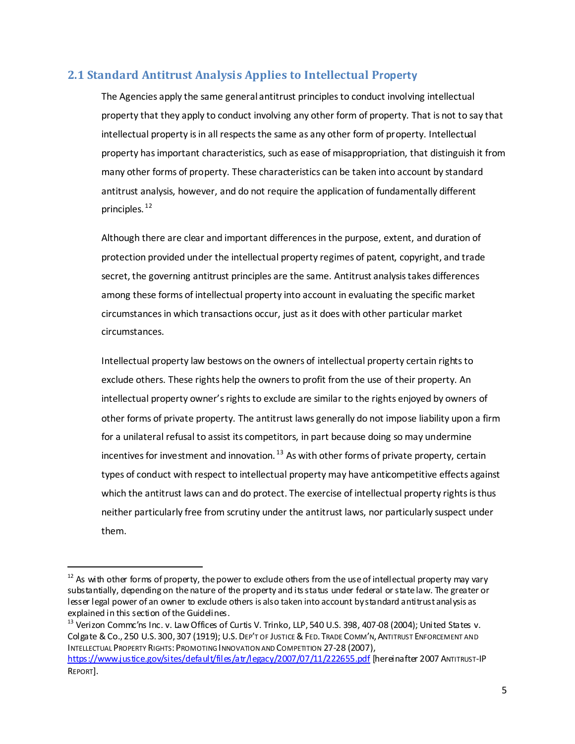# <span id="page-4-0"></span>**2.1 Standard Antitrust Analysis Applies to Intellectual Property**

The Agencies apply the same general antitrust principles to conduct involving intellectual property that they apply to conduct involving any other form of property. That is not to say that intellectual property is in all respects the same as any other form of property. Intellectual property has important characteristics, such as ease of misappropriation, that distinguish it from many other forms of property. These characteristics can be taken into account by standard antitrust analysis, however, and do not require the application of fundamentally different principles.<sup>[12](#page-4-1)</sup>

Although there are clear and important differences in the purpose, extent, and duration of protection provided under the intellectual property regimes of patent, copyright, and trade secret, the governing antitrust principles are the same. Antitrust analysis takes differences among these forms of intellectual property into account in evaluating the specific market circumstances in which transactions occur, just as it does with other particular market circumstances.

Intellectual property law bestows on the owners of intellectual property certain rights to exclude others. These rights help the owners to profit from the use of their property. An intellectual property owner's rights to exclude are similar to the rights enjoyed by owners of other forms of private property. The antitrust laws generally do not impose liability upon a firm for a unilateral refusal to assist its competitors, in part because doing so may undermine incentives for investment and innovation.  $13$  As with other forms of private property, certain types of conduct with respect to intellectual property may have anticompetitive effects against which the antitrust laws can and do protect. The exercise of intellectual property rights is thus neither particularly free from scrutiny under the antitrust laws, nor particularly suspect under them.

<span id="page-4-1"></span> $12$  As with other forms of property, the power to exclude others from the use of intellectual property may vary substantially, depending on the nature of the property and its status under federal or state law. The greater or lesser legal power of an owner to exclude others is also taken into account by standard antitrust analysis as explained in this section of the Guidelines.

<span id="page-4-2"></span><sup>&</sup>lt;sup>13</sup> Verizon Commc'ns Inc. v. Law Offices of Curtis V. Trinko, LLP, 540 U.S. 398, 407-08 (2004); United States v. Colgate & Co., 250 U.S. 300, 307 (1919); U.S. DEP'T OF JUSTICE & FED. TRADE COMM'N, ANTITRUST ENFORCEMENT AND INTELLECTUAL PROPERTY RIGHTS: PROMOTING INNOVATION AND COMPETITION 27-28 (2007), <https://www.justice.gov/sites/default/files/atr/legacy/2007/07/11/222655.pdf> [hereinafter 2007 ANTITRUST-IP REPORT].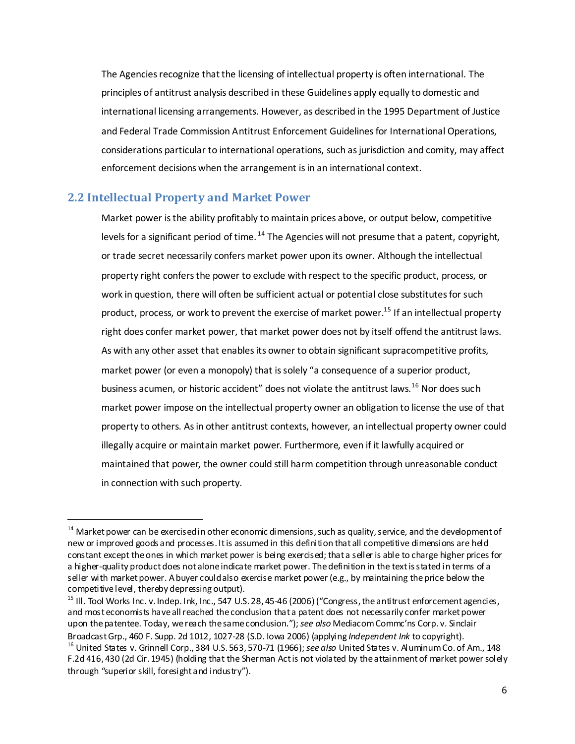The Agencies recognize that the licensing of intellectual property is often international. The principles of antitrust analysis described in these Guidelines apply equally to domestic and international licensing arrangements. However, as described in the 1995 Department of Justice and Federal Trade Commission Antitrust Enforcement Guidelines for International Operations, considerations particular to international operations, such as jurisdiction and comity, may affect enforcement decisions when the arrangement is in an international context.

# <span id="page-5-0"></span>**2.2 Intellectual Property and Market Power**

 $\overline{a}$ 

Market power is the ability profitably to maintain prices above, or output below, competitive levels for a significant period of time.  $^{14}$  $^{14}$  $^{14}$  The Agencies will not presume that a patent, copyright, or trade secret necessarily confers market power upon its owner. Although the intellectual property right confers the power to exclude with respect to the specific product, process, or work in question, there will often be sufficient actual or potential close substitutes for such product, process, or work to prevent the exercise of market power.<sup>15</sup> If an intellectual property right does confer market power, that market power does not by itself offend the antitrust laws. As with any other asset that enables its owner to obtain significant supracompetitive profits, market power (or even a monopoly) that is solely "a consequence of a superior product, business acumen, or historic accident" does not violate the antitrust laws.<sup>[16](#page-5-3)</sup> Nor does such market power impose on the intellectual property owner an obligation to license the use of that property to others. As in other antitrust contexts, however, an intellectual property owner could illegally acquire or maintain market power. Furthermore, even if it lawfully acquired or maintained that power, the owner could still harm competition through unreasonable conduct in connection with such property.

<span id="page-5-1"></span> $14$  Market power can be exercised in other economic dimensions, such as quality, service, and the development of new or improved goods and processes. It is assumed in this definition that all competitive dimensions are held constant except the ones in which market power is being exercised; that a seller is able to charge higher prices for a higher-quality product does not alone indicate market power. The definition in the text is stated in terms of a seller with market power. A buyer could also exercise market power (e.g., by maintaining the price below the competitive level, thereby depressing output).

<span id="page-5-2"></span><sup>&</sup>lt;sup>15</sup> Ill. Tool Works Inc. v. Indep. Ink, Inc., 547 U.S. 28, 45-46 (2006) ("Congress, the antitrust enforcement agencies, and most economists have all reached the conclusion that a patent does not necessarily confer market power upon the patentee. Today, we reach the same conclusion."); *see also* Mediacom Commc'ns Corp. v. Sinclair Broadcast Grp., 460 F. Supp. 2d 1012, 1027-28 (S.D. Iowa 2006) (applying *Independent Ink* to copyright).<br><sup>16</sup> United States v. Grinnell Corp., 384 U.S. 563, 570-71 (1966); see also United States v. Aluminum Co. of Am., 14

<span id="page-5-3"></span>F.2d 416, 430 (2d Cir. 1945) (holding that the Sherman Act is not violated by the attainment of market power solely through "superior skill, foresight and industry").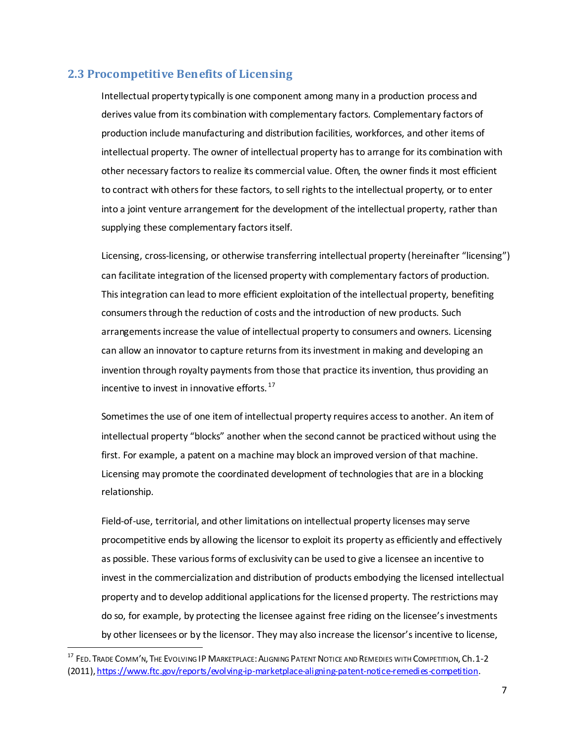### <span id="page-6-0"></span>**2.3 Procompetitive Benefits of Licensing**

Intellectual property typically is one component among many in a production process and derives value from its combination with complementary factors. Complementary factors of production include manufacturing and distribution facilities, workforces, and other items of intellectual property. The owner of intellectual property has to arrange for its combination with other necessary factors to realize its commercial value. Often, the owner finds it most efficient to contract with others for these factors, to sell rights to the intellectual property, or to enter into a joint venture arrangement for the development of the intellectual property, rather than supplying these complementary factors itself.

Licensing, cross-licensing, or otherwise transferring intellectual property (hereinafter "licensing") can facilitate integration of the licensed property with complementary factors of production. This integration can lead to more efficient exploitation of the intellectual property, benefiting consumers through the reduction of costs and the introduction of new products. Such arrangements increase the value of intellectual property to consumers and owners. Licensing can allow an innovator to capture returns from its investment in making and developing an invention through royalty payments from those that practice its invention, thus providing an incentive to invest in innovative efforts.<sup>[17](#page-6-1)</sup>

Sometimes the use of one item of intellectual property requires access to another. An item of intellectual property "blocks" another when the second cannot be practiced without using the first. For example, a patent on a machine may block an improved version of that machine. Licensing may promote the coordinated development of technologies that are in a blocking relationship.

Field-of-use, territorial, and other limitations on intellectual property licenses may serve procompetitive ends by allowing the licensor to exploit its property as efficiently and effectively as possible. These various forms of exclusivity can be used to give a licensee an incentive to invest in the commercialization and distribution of products embodying the licensed intellectual property and to develop additional applications for the licensed property. The restrictions may do so, for example, by protecting the licensee against free riding on the licensee's investments by other licensees or by the licensor. They may also increase the licensor's incentive to license,

<span id="page-6-1"></span><sup>&</sup>lt;sup>17</sup> Fed. Trade Comm'n, The Evolving IP Marketplace: Aligning Patent Notice and Remedies with Competition, Ch. 1-2 (2011)[, https://www.ftc.gov/reports/evolving-ip-marketplace-aligning-patent-notice-remedies-competition.](https://www.ftc.gov/reports/evolving-ip-marketplace-aligning-patent-notice-remedies-competition)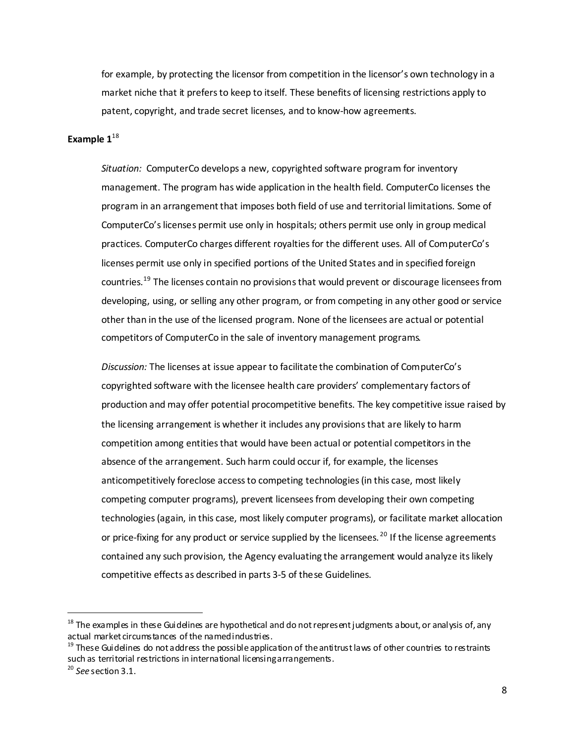for example, by protecting the licensor from competition in the licensor's own technology in a market niche that it prefers to keep to itself. These benefits of licensing restrictions apply to patent, copyright, and trade secret licenses, and to know-how agreements.

### **Example 1**[18](#page-7-0)

*Situation:* ComputerCo develops a new, copyrighted software program for inventory management. The program has wide application in the health field. ComputerCo licenses the program in an arrangement that imposes both field of use and territorial limitations. Some of ComputerCo's licenses permit use only in hospitals; others permit use only in group medical practices. ComputerCo charges different royalties for the different uses. All of ComputerCo's licenses permit use only in specified portions of the United States and in specified foreign countries.<sup>[19](#page-7-1)</sup> The licenses contain no provisions that would prevent or discourage licensees from developing, using, or selling any other program, or from competing in any other good or service other than in the use of the licensed program. None of the licensees are actual or potential competitors of ComputerCo in the sale of inventory management programs.

*Discussion:* The licenses at issue appear to facilitate the combination of ComputerCo's copyrighted software with the licensee health care providers' complementary factors of production and may offer potential procompetitive benefits. The key competitive issue raised by the licensing arrangement is whether it includes any provisions that are likely to harm competition among entities that would have been actual or potential competitors in the absence of the arrangement. Such harm could occur if, for example, the licenses anticompetitively foreclose access to competing technologies (in this case, most likely competing computer programs), prevent licensees from developing their own competing technologies (again, in this case, most likely computer programs), or facilitate market allocation or price-fixing for any product or service supplied by the licensees.<sup>[20](#page-7-2)</sup> If the license agreements contained any such provision, the Agency evaluating the arrangement would analyze its likely competitive effects as described in parts 3-5 of these Guidelines.

<span id="page-7-0"></span> $18$  The examples in these Guidelines are hypothetical and do not represent judgments about, or analysis of, any actual market circumstances of the named industries.

<span id="page-7-1"></span> $19$  These Guidelines do not address the possible application of the antitrust laws of other countries to restraints such as territorial restrictions in international licensing arrangements. 20 *See* section 3.1.

<span id="page-7-2"></span>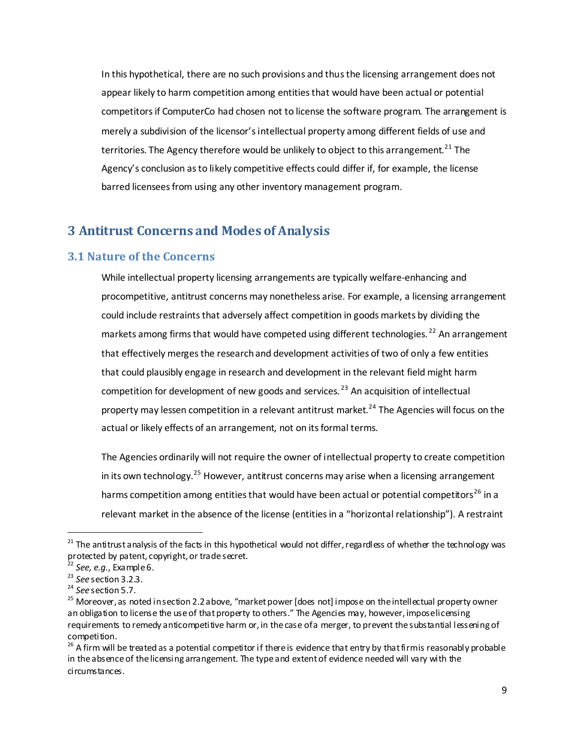In this hypothetical, there are no such provisions and thus the licensing arrangement does not appear likely to harm competition among entities that would have been actual or potential competitors if ComputerCo had chosen not to license the software program. The arrangement is merely a subdivision of the licensor's intellectual property among different fields of use and territories. The Agency therefore would be unlikely to object to this arrangement.<sup>[21](#page-8-2)</sup> The Agency's conclusion as to likely competitive effects could differ if, for example, the license barred licensees from using any other inventory management program.

# <span id="page-8-0"></span>**3 Antitrust Concerns and Modes of Analysis**

### <span id="page-8-1"></span>**3.1 Nature of the Concerns**

While intellectual property licensing arrangements are typically welfare-enhancing and procompetitive, antitrust concerns may nonetheless arise. For example, a licensing arrangement could include restraints that adversely affect competition in goods markets by dividing the markets among firms that would have competed using different technologies.<sup>[22](#page-8-3)</sup> An arrangement that effectively merges the research and development activities of two of only a few entities that could plausibly engage in research and development in the relevant field might harm competition for development of new goods and services.<sup>[23](#page-8-4)</sup> An acquisition of intellectual property may lessen competition in a relevant antitrust market.<sup>[24](#page-8-5)</sup> The Agencies will focus on the actual or likely effects of an arrangement, not on its formal terms.

The Agencies ordinarily will not require the owner of intellectual property to create competition in its own technology.<sup>[25](#page-8-6)</sup> However, antitrust concerns may arise when a licensing arrangement harms competition among entities that would have been actual or potential competitors<sup>[26](#page-8-7)</sup> in a relevant market in the absence of the license (entities in a "horizontal relationship"). A restraint

<span id="page-8-2"></span><sup>&</sup>lt;sup>21</sup> The antitrust analysis of the facts in this hypothetical would not differ, regardless of whether the technology was protected by patent, copyright, or trade secret.

<span id="page-8-3"></span><sup>&</sup>lt;sup>22</sup> *See, e.g.*, Example 6.<br><sup>23</sup> *See* section 3.2.3.

<span id="page-8-6"></span><span id="page-8-5"></span><span id="page-8-4"></span><sup>&</sup>lt;sup>24</sup> See section 5.7.<br><sup>25</sup> Moreover, as noted in section 2.2 above, "market power [does not] impose on the intellectual property owner an obligation to license the use of that property to others." The Agencies may, however, impose licensing requirements to remedy anticompetitive harm or, in the case of a merger, to prevent the substantial lessening of competition.

<span id="page-8-7"></span> $26$  A firm will be treated as a potential competitor if there is evidence that entry by that firm is reasonably probable in the absence of the licensing arrangement. The type and extent of evidence needed will vary with the circumstances.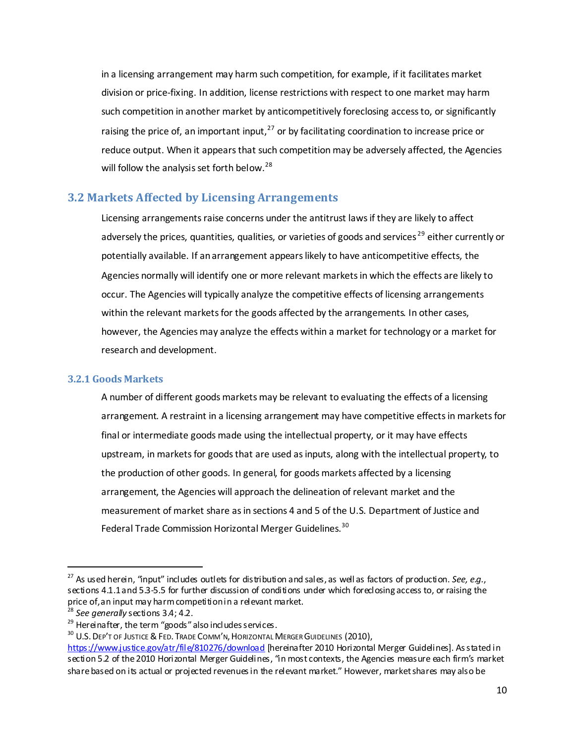in a licensing arrangement may harm such competition, for example, if it facilitates market division or price-fixing. In addition, license restrictions with respect to one market may harm such competition in another market by anticompetitively foreclosing access to, or significantly raising the price of, an important input,  $27$  or by facilitating coordination to increase price or reduce output. When it appears that such competition may be adversely affected, the Agencies will follow the analysis set forth below.<sup>[28](#page-9-3)</sup>

# <span id="page-9-0"></span>**3.2 Markets Affected by Licensing Arrangements**

Licensing arrangements raise concerns under the antitrust laws if they are likely to affect adversely the prices, quantities, qualities, or varieties of goods and services<sup>[29](#page-9-4)</sup> either currently or potentially available. If an arrangement appears likely to have anticompetitive effects, the Agencies normally will identify one or more relevant markets in which the effects are likely to occur. The Agencies will typically analyze the competitive effects of licensing arrangements within the relevant markets for the goods affected by the arrangements. In other cases, however, the Agencies may analyze the effects within a market for technology or a market for research and development.

### <span id="page-9-1"></span>**3.2.1 Goods Markets**

A number of different goods markets may be relevant to evaluating the effects of a licensing arrangement. A restraint in a licensing arrangement may have competitive effects in markets for final or intermediate goods made using the intellectual property, or it may have effects upstream, in markets for goods that are used as inputs, along with the intellectual property, to the production of other goods. In general, for goods markets affected by a licensing arrangement, the Agencies will approach the delineation of relevant market and the measurement of market share as in sections 4 and 5 of the U.S. Department of Justice and Federal Trade Commission Horizontal Merger Guidelines.<sup>[30](#page-9-5)</sup>

<span id="page-9-2"></span><sup>&</sup>lt;sup>27</sup> As used herein, "input" includes outlets for distribution and sales, as well as factors of production. See, e.g., sections 4.1.1 and 5.3-5.5 for further discussion of conditions under which foreclosing access to, or raising the price of, an input may harm competition in a relevant market.

<span id="page-9-3"></span><sup>&</sup>lt;sup>28</sup> See generally sections 3.4; 4.2.<br><sup>29</sup> Hereinafter, the term "goods" also includes services.

<span id="page-9-5"></span><span id="page-9-4"></span><sup>&</sup>lt;sup>30</sup> U.S. DEP'T OF JUSTICE & FED. TRADE COMM'N, HORIZONTAL MERGER GUIDELINES (2010),

<https://www.justice.gov/atr/file/810276/download> [hereinafter 2010 Horizontal Merger Guidelines]. As stated in section 5.2 of the 2010 Horizontal Merger Guidelines, "in most contexts, the Agencies measure each firm's market share based on its actual or projected revenues in the relevant market." However, market shares may also be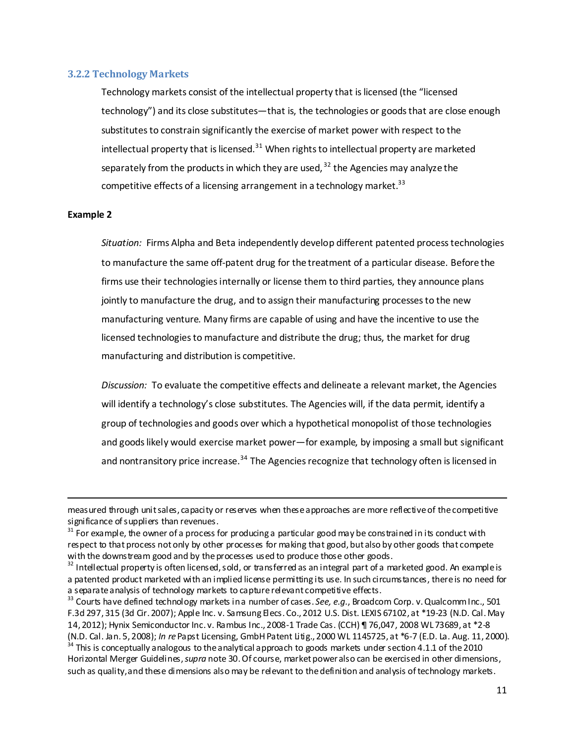### <span id="page-10-0"></span>**3.2.2 Technology Markets**

Technology markets consist of the intellectual property that is licensed (the "licensed technology") and its close substitutes—that is, the technologies or goods that are close enough substitutes to constrain significantly the exercise of market power with respect to the intellectual property that is licensed. $31$  When rights to intellectual property are marketed separately from the products in which they are used,  $32$  the Agencies may analyze the competitive effects of a licensing arrangement in a technology market.<sup>[33](#page-10-3)</sup>

### **Example 2**

 $\overline{a}$ 

*Situation:* Firms Alpha and Beta independently develop different patented process technologies to manufacture the same off-patent drug for the treatment of a particular disease. Before the firms use their technologies internally or license them to third parties, they announce plans jointly to manufacture the drug, and to assign their manufacturing processes to the new manufacturing venture. Many firms are capable of using and have the incentive to use the licensed technologies to manufacture and distribute the drug; thus, the market for drug manufacturing and distribution is competitive.

*Discussion:* To evaluate the competitive effects and delineate a relevant market, the Agencies will identify a technology's close substitutes. The Agencies will, if the data permit, identify a group of technologies and goods over which a hypothetical monopolist of those technologies and goods likely would exercise market power—for example, by imposing a small but significant and nontransitory price increase.<sup>[34](#page-10-4)</sup> The Agencies recognize that technology often is licensed in

measured through unit sales, capacity or reserves when these approaches are more reflective of the competitive significance of suppliers than revenues.

<span id="page-10-1"></span> $31$  For example, the owner of a process for producing a particular good may be constrained in its conduct with respect to that process not only by other processes for making that good, but also by other goods that compete with the downstream good and by the processes used to produce those other goods.

<span id="page-10-2"></span> $32$  Intellectual property is often licensed, sold, or transferred as an integral part of a marketed good. An example is a patented product marketed with an implied license permitting its use. In such circumstances, there is no need for a separate analysis of technology markets to capture relevant competitive effects.<br><sup>33</sup> Courts have defined technology markets in a number of cases. *See, e.g.*, Broadcom Corp. v. Qualcomm Inc., 501

<span id="page-10-3"></span>F.3d 297, 315 (3d Cir. 2007); Apple Inc. v. Samsung Elecs. Co., 2012 U.S. Dist. LEXIS 67102, at \*19-23 (N.D. Cal. May 14, 2012); Hynix Semiconductor Inc. v. Rambus Inc., 2008-1 Trade Cas. (CCH) ¶ 76,047, 2008 WL 73689, at \*2-8<br>(N.D. Cal. Jan. 5, 2008); *In re* Papst Licensing, GmbH Patent Litig., 2000 WL 1145725, at \*6-7 (E.D. La. Aug. 11  $34$  This is conceptually analogous to the analytical approach to goods markets under section 4.1.1 of the 2010

<span id="page-10-4"></span>Horizontal Merger Guidelines, *supra* note 30. Of course, market power also can be exercised in other dimensions, such as quality, and these dimensions also may be relevant to the definition and analysis of technology markets.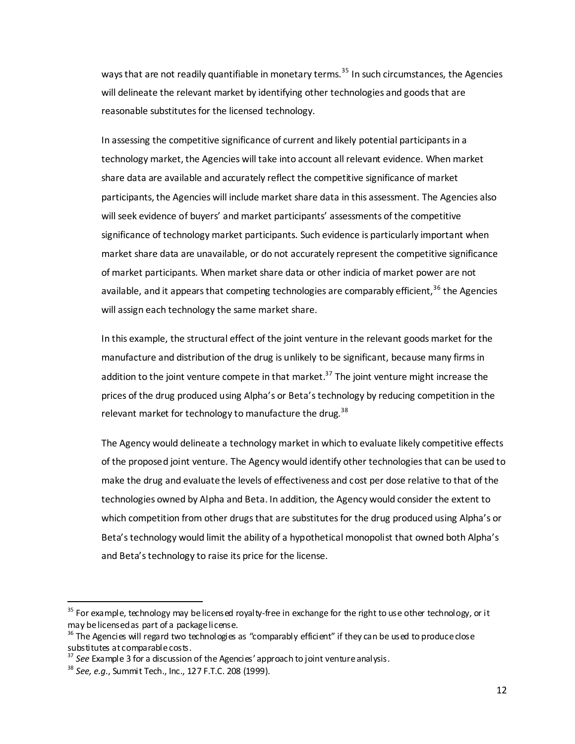ways that are not readily quantifiable in monetary terms.<sup>[35](#page-11-0)</sup> In such circumstances, the Agencies will delineate the relevant market by identifying other technologies and goods that are reasonable substitutes for the licensed technology.

In assessing the competitive significance of current and likely potential participants in a technology market, the Agencies will take into account all relevant evidence. When market share data are available and accurately reflect the competitive significance of market participants, the Agencies will include market share data in this assessment. The Agencies also will seek evidence of buyers' and market participants' assessments of the competitive significance of technology market participants. Such evidence is particularly important when market share data are unavailable, or do not accurately represent the competitive significance of market participants. When market share data or other indicia of market power are not available, and it appears that competing technologies are comparably efficient,<sup>[36](#page-11-1)</sup> the Agencies will assign each technology the same market share.

In this example, the structural effect of the joint venture in the relevant goods market for the manufacture and distribution of the drug is unlikely to be significant, because many firms in addition to the joint venture compete in that market.<sup>[37](#page-11-2)</sup> The joint venture might increase the prices of the drug produced using Alpha's or Beta's technology by reducing competition in the relevant market for technology to manufacture the drug.<sup>[38](#page-11-3)</sup>

The Agency would delineate a technology market in which to evaluate likely competitive effects of the proposed joint venture. The Agency would identify other technologies that can be used to make the drug and evaluate the levels of effectiveness and cost per dose relative to that of the technologies owned by Alpha and Beta. In addition, the Agency would consider the extent to which competition from other drugs that are substitutes for the drug produced using Alpha's or Beta's technology would limit the ability of a hypothetical monopolist that owned both Alpha's and Beta's technology to raise its price for the license.

<span id="page-11-0"></span><sup>&</sup>lt;sup>35</sup> For example, technology may be licensed royalty-free in exchange for the right to use other technology, or it may be licensed as part of a package license.

<span id="page-11-1"></span><sup>&</sup>lt;sup>36</sup> The Agencies will regard two technologies as "comparably efficient" if they can be used to produce close substitutes at comparable costs.<br><sup>37</sup> See Example 3 for a discussion of the Agencies' approach to joint venture analysis.

<span id="page-11-2"></span>

<span id="page-11-3"></span><sup>38</sup> *See, e.g.*, Summit Tech., Inc., 127 F.T.C. 208 (1999)*.*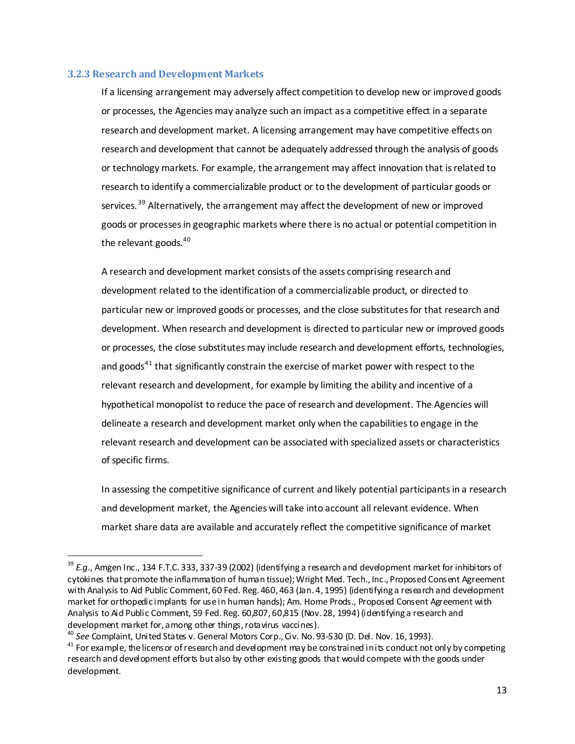### <span id="page-12-0"></span>**3.2.3 Research and Development Markets**

If a licensing arrangement may adversely affect competition to develop new or improved goods or processes, the Agencies may analyze such an impact as a competitive effect in a separate research and development market. A licensing arrangement may have competitive effects on research and development that cannot be adequately addressed through the analysis of goods or technology markets. For example, the arrangement may affect innovation that is related to research to identify a commercializable product or to the development of particular goods or services.<sup>[39](#page-12-1)</sup> Alternatively, the arrangement may affect the development of new or improved goods or processes in geographic markets where there is no actual or potential competition in the relevant goods.<sup>[40](#page-12-2)</sup>

A research and development market consists of the assets comprising research and development related to the identification of a commercializable product, or directed to particular new or improved goods or processes, and the close substitutes for that research and development. When research and development is directed to particular new or improved goods or processes, the close substitutes may include research and development efforts, technologies, and goods<sup>[41](#page-12-3)</sup> that significantly constrain the exercise of market power with respect to the relevant research and development, for example by limiting the ability and incentive of a hypothetical monopolist to reduce the pace of research and development. The Agencies will delineate a research and development market only when the capabilities to engage in the relevant research and development can be associated with specialized assets or characteristics of specific firms.

In assessing the competitive significance of current and likely potential participants in a research and development market, the Agencies will take into account all relevant evidence. When market share data are available and accurately reflect the competitive significance of market

<span id="page-12-1"></span> <sup>39</sup> *E.g.*, Amgen Inc., 134 F.T.C. 333, 337-39 (2002) (identifying a research and development market for inhibitors of cytokines that promote the inflammation of human tissue);Wright Med. Tech., Inc., Proposed Consent Agreement with Analysis to Aid Public Comment, 60 Fed. Reg. 460, 463 (Jan. 4, 1995) (identifying a research and development market for orthopedic implants for use in human hands); Am. Home Prods., Proposed Consent Agreement with Analysis to Aid Public Comment, 59 Fed. Reg. 60,807, 60,815 (Nov. 28, 1994) (identifying a research and development market for, among other things, rotavirus vaccines).<br><sup>40</sup> See Complaint, United States v. General Motors Corp., Civ. No. 93-530 (D. Del. Nov. 16, 1993).<br><sup>41</sup> For example, the licensor of research and developmen

<span id="page-12-2"></span>

<span id="page-12-3"></span>research and development efforts but also by other existing goods that would compete with the goods under development.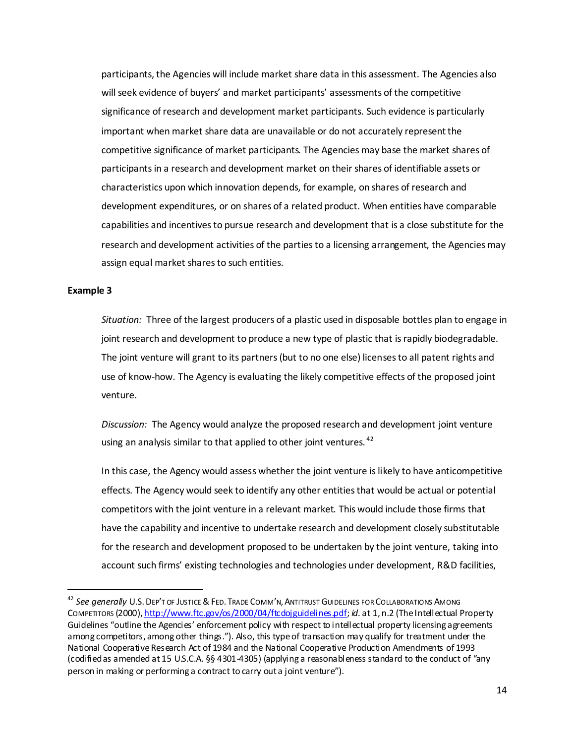participants, the Agencies will include market share data in this assessment. The Agencies also will seek evidence of buyers' and market participants' assessments of the competitive significance of research and development market participants. Such evidence is particularly important when market share data are unavailable or do not accurately represent the competitive significance of market participants. The Agencies may base the market shares of participants in a research and development market on their shares of identifiable assets or characteristics upon which innovation depends, for example, on shares of research and development expenditures, or on shares of a related product. When entities have comparable capabilities and incentives to pursue research and development that is a close substitute for the research and development activities of the parties to a licensing arrangement, the Agencies may assign equal market shares to such entities.

### **Example 3**

 $\overline{a}$ 

*Situation:* Three of the largest producers of a plastic used in disposable bottles plan to engage in joint research and development to produce a new type of plastic that is rapidly biodegradable. The joint venture will grant to its partners (but to no one else) licenses to all patent rights and use of know-how. The Agency is evaluating the likely competitive effects of the proposed joint venture.

*Discussion:* The Agency would analyze the proposed research and development joint venture using an analysis similar to that applied to other joint ventures.<sup>[42](#page-13-0)</sup>

In this case, the Agency would assess whether the joint venture is likely to have anticompetitive effects. The Agency would seek to identify any other entities that would be actual or potential competitors with the joint venture in a relevant market. This would include those firms that have the capability and incentive to undertake research and development closely substitutable for the research and development proposed to be undertaken by the joint venture, taking into account such firms' existing technologies and technologies under development, R&D facilities,

<span id="page-13-0"></span><sup>42</sup> *See generally* U.S.DEP'T OF JUSTICE &FED. TRADE COMM'N,ANTITRUST GUIDELINES FOR COLLABORATIONS AMONG COMPETITORS (2000)[, http://www.ftc.gov/os/2000/04/ftcdojguidelines.pdf;](http://www.ftc.gov/os/2000/04/ftcdojguidelines.pdf) *id.* at 1, n.2 (The Intellectual Property Guidelines "outline the Agencies' enforcement policy with respect to intellectual property licensing agreements among competitors, among other things."). Also, this type of transaction may qualify for treatment under the National Cooperative Research Act of 1984 and the National Cooperative Production Amendments of 1993 (codified as amended at 15 U.S.C.A. §§ 4301-4305) (applying a reasonableness standard to the conduct of "any person in making or performing a contract to carry out a joint venture").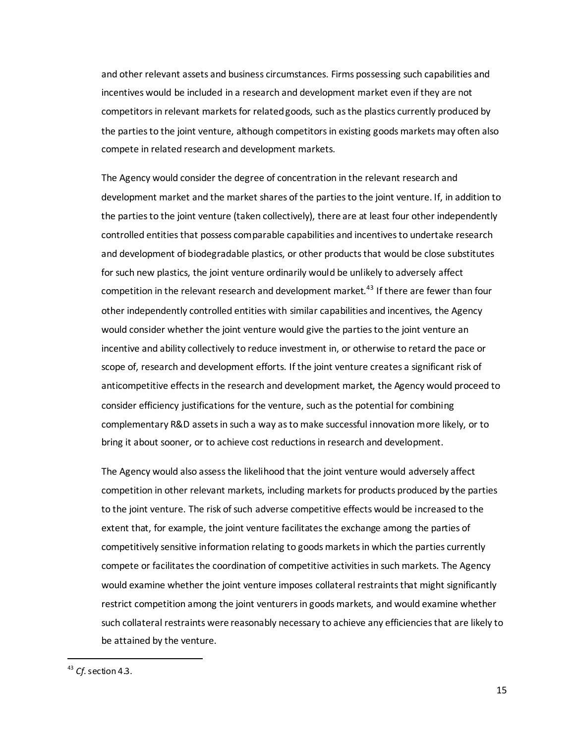and other relevant assets and business circumstances. Firms possessing such capabilities and incentives would be included in a research and development market even if they are not competitors in relevant markets for related goods, such as the plastics currently produced by the parties to the joint venture, although competitors in existing goods markets may often also compete in related research and development markets.

The Agency would consider the degree of concentration in the relevant research and development market and the market shares of the parties to the joint venture. If, in addition to the parties to the joint venture (taken collectively), there are at least four other independently controlled entities that possess comparable capabilities and incentivesto undertake research and development of biodegradable plastics, or other products that would be close substitutes for such new plastics, the joint venture ordinarily would be unlikely to adversely affect competition in the relevant research and development market.<sup>[43](#page-14-0)</sup> If there are fewer than four other independently controlled entities with similar capabilities and incentives, the Agency would consider whether the joint venture would give the parties to the joint venture an incentive and ability collectively to reduce investment in, or otherwise to retard the pace or scope of, research and development efforts. If the joint venture creates a significant risk of anticompetitive effects in the research and development market, the Agency would proceed to consider efficiency justifications for the venture, such as the potential for combining complementary R&D assets in such a way as to make successful innovation more likely, or to bring it about sooner, or to achieve cost reductions in research and development.

The Agency would also assess the likelihood that the joint venture would adversely affect competition in other relevant markets, including markets for products produced by the parties to the joint venture. The risk of such adverse competitive effects would be increased to the extent that, for example, the joint venture facilitates the exchange among the parties of competitively sensitive information relating to goods markets in which the parties currently compete or facilitates the coordination of competitive activities in such markets. The Agency would examine whether the joint venture imposes collateral restraints that might significantly restrict competition among the joint venturers in goods markets, and would examine whether such collateral restraints were reasonably necessary to achieve any efficiencies that are likely to be attained by the venture.

<span id="page-14-0"></span> <sup>43</sup> *Cf.* section 4.3.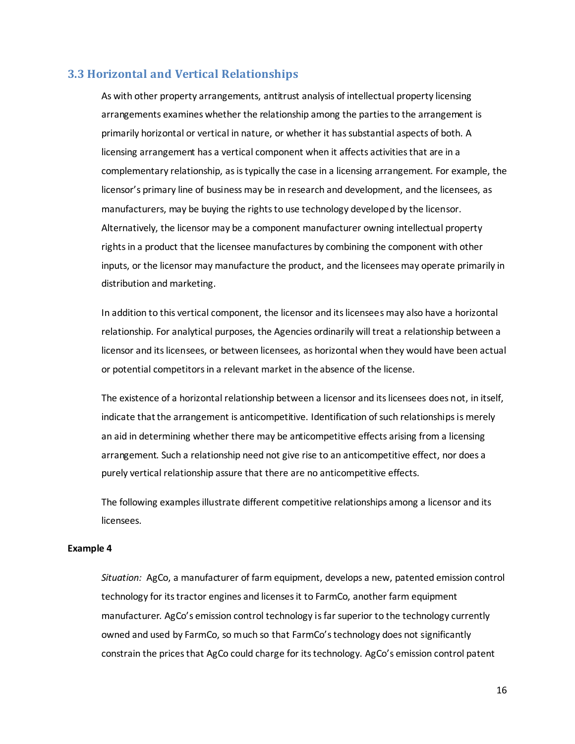### <span id="page-15-0"></span>**3.3 Horizontal and Vertical Relationships**

As with other property arrangements, antitrust analysis of intellectual property licensing arrangements examines whether the relationship among the parties to the arrangement is primarily horizontal or vertical in nature, or whether it has substantial aspects of both. A licensing arrangement has a vertical component when it affects activities that are in a complementary relationship, as is typically the case in a licensing arrangement. For example, the licensor's primary line of business may be in research and development, and the licensees, as manufacturers, may be buying the rights to use technology developed by the licensor. Alternatively, the licensor may be a component manufacturer owning intellectual property rights in a product that the licensee manufactures by combining the component with other inputs, or the licensor may manufacture the product, and the licensees may operate primarily in distribution and marketing.

In addition to this vertical component, the licensor and its licensees may also have a horizontal relationship. For analytical purposes, the Agencies ordinarily will treat a relationship between a licensor and its licensees, or between licensees, as horizontal when they would have been actual or potential competitors in a relevant market in the absence of the license.

The existence of a horizontal relationship between a licensor and its licensees does not, in itself, indicate that the arrangement is anticompetitive. Identification of such relationships is merely an aid in determining whether there may be anticompetitive effects arising from a licensing arrangement. Such a relationship need not give rise to an anticompetitive effect, nor does a purely vertical relationship assure that there are no anticompetitive effects.

The following examples illustrate different competitive relationships among a licensor and its licensees.

### **Example 4**

*Situation:* AgCo, a manufacturer of farm equipment, develops a new, patented emission control technology for its tractor engines and licenses it to FarmCo, another farm equipment manufacturer. AgCo's emission control technology is far superior to the technology currently owned and used by FarmCo, so much so that FarmCo's technology does not significantly constrain the prices that AgCo could charge for its technology. AgCo's emission control patent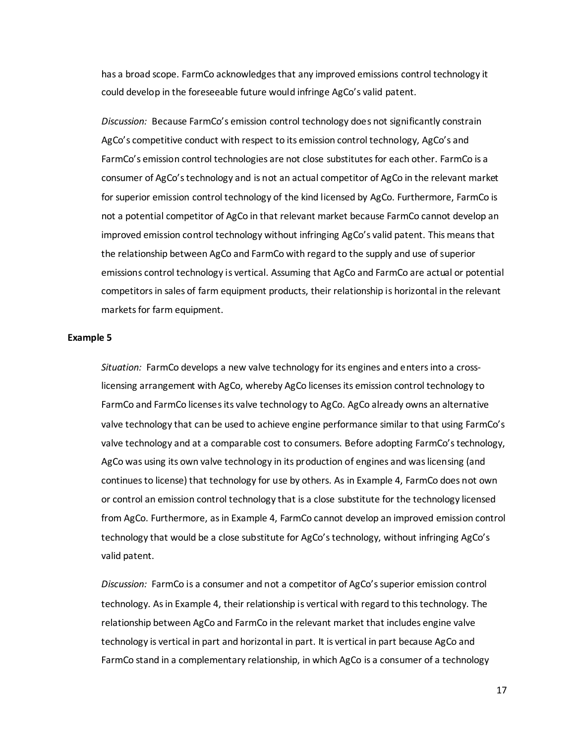has a broad scope. FarmCo acknowledges that any improved emissions control technology it could develop in the foreseeable future would infringe AgCo's valid patent.

*Discussion:* Because FarmCo's emission control technology does not significantly constrain AgCo's competitive conduct with respect to its emission control technology, AgCo's and FarmCo's emission control technologies are not close substitutes for each other. FarmCo is a consumer of AgCo's technology and is not an actual competitor of AgCo in the relevant market for superior emission control technology of the kind licensed by AgCo. Furthermore, FarmCo is not a potential competitor of AgCo in that relevant market because FarmCo cannot develop an improved emission control technology without infringing AgCo's valid patent. This means that the relationship between AgCo and FarmCo with regard to the supply and use of superior emissions control technology is vertical. Assuming that AgCo and FarmCo are actual or potential competitors in sales of farm equipment products, their relationship is horizontal in the relevant markets for farm equipment.

#### **Example 5**

*Situation:* FarmCo develops a new valve technology for its engines and enters into a crosslicensing arrangement with AgCo, whereby AgCo licenses its emission control technology to FarmCo and FarmCo licenses its valve technology to AgCo. AgCo already owns an alternative valve technology that can be used to achieve engine performance similar to that using FarmCo's valve technology and at a comparable cost to consumers. Before adopting FarmCo's technology, AgCo was using its own valve technology in its production of engines and was licensing (and continues to license) that technology for use by others. As in Example 4, FarmCo does not own or control an emission control technology that is a close substitute for the technology licensed from AgCo. Furthermore, as in Example 4, FarmCo cannot develop an improved emission control technology that would be a close substitute for AgCo's technology, without infringing AgCo's valid patent.

*Discussion:* FarmCo is a consumer and not a competitor of AgCo's superior emission control technology. As in Example 4, their relationship is vertical with regard to this technology. The relationship between AgCo and FarmCo in the relevant market that includes engine valve technology is vertical in part and horizontal in part. It is vertical in part because AgCo and FarmCo stand in a complementary relationship, in which AgCo is a consumer of a technology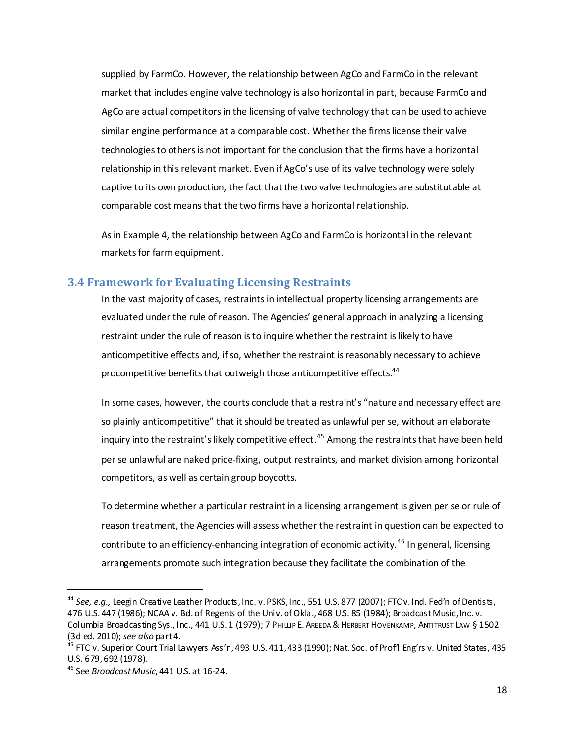supplied by FarmCo. However, the relationship between AgCo and FarmCo in the relevant market that includes engine valve technology is also horizontal in part, because FarmCo and AgCo are actual competitors in the licensing of valve technology that can be used to achieve similar engine performance at a comparable cost. Whether the firms license their valve technologies to others is not important for the conclusion that the firms have a horizontal relationship in this relevant market. Even if AgCo's use of its valve technology were solely captive to its own production, the fact that the two valve technologies are substitutable at comparable cost means that the two firms have a horizontal relationship.

As in Example 4, the relationship between AgCo and FarmCo is horizontal in the relevant markets for farm equipment.

### <span id="page-17-0"></span>**3.4 Framework for Evaluating Licensing Restraints**

In the vast majority of cases, restraints in intellectual property licensing arrangements are evaluated under the rule of reason. The Agencies' general approach in analyzing a licensing restraint under the rule of reason is to inquire whether the restraint is likely to have anticompetitive effects and, if so, whether the restraint is reasonably necessary to achieve procompetitive benefits that outweigh those anticompetitive effects.<sup>44</sup>

In some cases, however, the courts conclude that a restraint's "nature and necessary effect are so plainly anticompetitive" that it should be treated as unlawful per se, without an elaborate inquiry into the restraint's likely competitive effect.<sup>[45](#page-17-2)</sup> Among the restraints that have been held per se unlawful are naked price-fixing, output restraints, and market division among horizontal competitors, as well as certain group boycotts.

To determine whether a particular restraint in a licensing arrangement is given per se or rule of reason treatment, the Agencies will assess whether the restraint in question can be expected to contribute to an efficiency-enhancing integration of economic activity.<sup>[46](#page-17-3)</sup> In general, licensing arrangements promote such integration because they facilitate the combination of the

<span id="page-17-1"></span><sup>&</sup>lt;sup>44</sup> See, e.g., Leegin Creative Leather Products, Inc. v. PSKS, Inc., 551 U.S. 877 (2007); FTC v. Ind. Fed'n of Dentists, 476 U.S. 447 (1986); NCAA v. Bd. of Regents of the Univ. of Okla., 468 U.S. 85 (1984); Broadcast Music, Inc. v. Columbia Broadcasting Sys., Inc., 441 U.S. 1 (1979); 7 PHILLIP E. AREEDA & HERBERT HOVENKAMP, ANTITRUST LAW § 1502<br>(3d ed. 2010); see also part 4.

<span id="page-17-2"></span><sup>&</sup>lt;sup>45</sup> FTC v. Superior Court Trial Lawyers Ass'n, 493 U.S. 411, 433 (1990); Nat. Soc. of Prof'l Eng'rs v. United States, 435 U.S. 679, 692 (1978).

<span id="page-17-3"></span><sup>46</sup> See *Broadcast Music*, 441 U.S. at 16-24.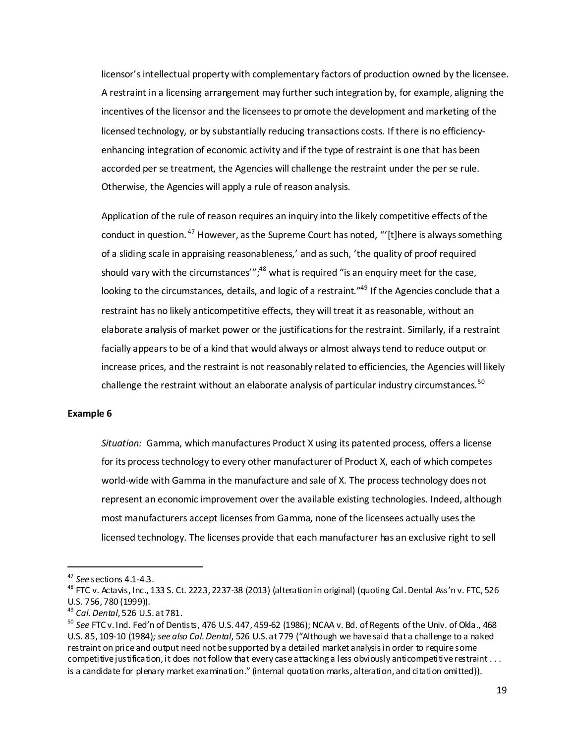licensor's intellectual property with complementary factors of production owned by the licensee. A restraint in a licensing arrangement may further such integration by, for example, aligning the incentives of the licensor and the licensees to promote the development and marketing of the licensed technology, or by substantially reducing transactions costs. If there is no efficiencyenhancing integration of economic activity and if the type of restraint is one that has been accorded per se treatment, the Agencies will challenge the restraint under the per se rule. Otherwise, the Agencies will apply a rule of reason analysis.

Application of the rule of reason requires an inquiry into the likely competitive effects of the conduct in question.<sup>[47](#page-18-0)</sup> However, as the Supreme Court has noted, "'[t]here is always something of a sliding scale in appraising reasonableness,' and as such, 'the quality of proof required should vary with the circumstances'"; $48$  what is required "is an enquiry meet for the case, looking to the circumstances, details, and logic of a restraint."<sup>49</sup> If the Agencies conclude that a restraint has no likely anticompetitive effects, they will treat it as reasonable, without an elaborate analysis of market power or the justifications for the restraint. Similarly, if a restraint facially appears to be of a kind that would always or almost always tend to reduce output or increase prices, and the restraint is not reasonably related to efficiencies, the Agencies will likely challenge the restraint without an elaborate analysis of particular industry circumstances.<sup>50</sup>

### **Example 6**

*Situation:* Gamma, which manufactures Product X using its patented process, offers a license for its process technology to every other manufacturer of Product X, each of which competes world-wide with Gamma in the manufacture and sale of X. The process technology does not represent an economic improvement over the available existing technologies. Indeed, although most manufacturers accept licenses from Gamma, none of the licensees actually uses the licensed technology. The licenses provide that each manufacturer has an exclusive right to sell

<span id="page-18-1"></span>

<span id="page-18-0"></span><sup>&</sup>lt;sup>47</sup> See sections 4.1-4.3.<br><sup>48</sup> FTC v. Actavis, Inc., 133 S. Ct. 2223, 2237-38 (2013) (alteration in original) (quoting Cal. Dental Ass'n v. FTC, 526 U.S. 756, 780 (1999)).

<span id="page-18-2"></span><sup>49</sup> *Cal. Dental*, 526 U.S. at 781.

<span id="page-18-3"></span><sup>50</sup> *See* FTC v. Ind. Fed'n of Dentists, 476 U.S. 447, 459-62 (1986); NCAA v. Bd. of Regents of the Univ. of Okla., 468 U.S. 85, 109-10 (1984)*; see also Cal. Dental*, 526 U.S. at 779 ("Although we have said that a challenge to a naked restraint on price and output need not be supported by a detailed market analysis in order to require some competitive justification, it does not follow that every case attacking a less obviously anticompetitive restraint . . . is a candidate for plenary market examination." (internal quotation marks, alteration, and citation omitted)).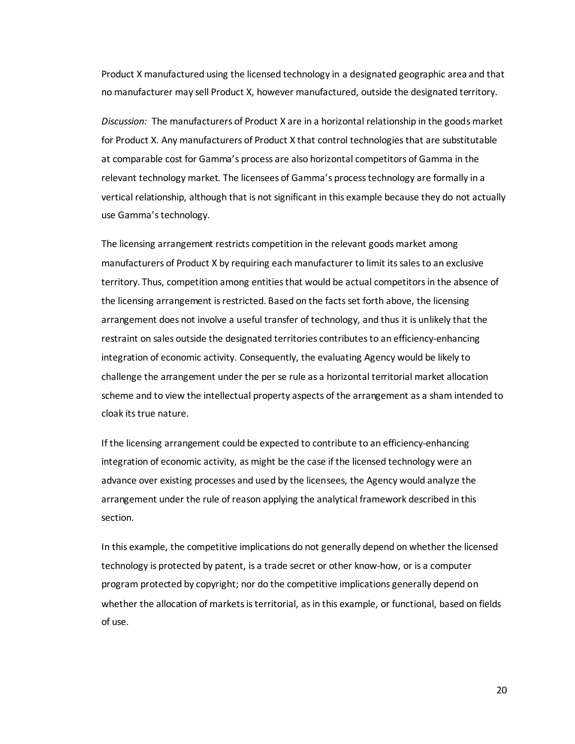Product X manufactured using the licensed technology in a designated geographic area and that no manufacturer may sell Product X, however manufactured, outside the designated territory.

*Discussion:* The manufacturers of Product X are in a horizontal relationship in the goods market for Product X. Any manufacturers of Product X that control technologies that are substitutable at comparable cost for Gamma's process are also horizontal competitors of Gamma in the relevant technology market. The licensees of Gamma's process technology are formally in a vertical relationship, although that is not significant in this example because they do not actually use Gamma's technology.

The licensing arrangement restricts competition in the relevant goods market among manufacturers of Product X by requiring each manufacturer to limit its sales to an exclusive territory. Thus, competition among entities that would be actual competitors in the absence of the licensing arrangement is restricted. Based on the facts set forth above, the licensing arrangement does not involve a useful transfer of technology, and thus it is unlikely that the restraint on sales outside the designated territories contributes to an efficiency-enhancing integration of economic activity. Consequently, the evaluating Agency would be likely to challenge the arrangement under the per se rule as a horizontal territorial market allocation scheme and to view the intellectual property aspects of the arrangement as a sham intended to cloak its true nature.

If the licensing arrangement could be expected to contribute to an efficiency-enhancing integration of economic activity, as might be the case if the licensed technology were an advance over existing processes and used by the licensees, the Agency would analyze the arrangement under the rule of reason applying the analytical framework described in this section.

In this example, the competitive implications do not generally depend on whether the licensed technology is protected by patent, is a trade secret or other know-how, or is a computer program protected by copyright; nor do the competitive implications generally depend on whether the allocation of markets is territorial, as in this example, or functional, based on fields of use.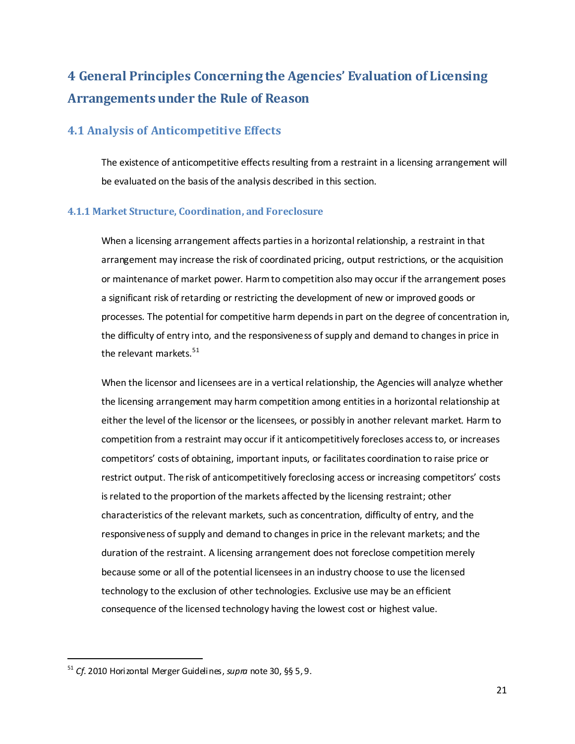# <span id="page-20-0"></span>**4 General Principles Concerning the Agencies' Evaluation of Licensing Arrangements under the Rule of Reason**

# <span id="page-20-1"></span>**4.1 Analysis of Anticompetitive Effects**

The existence of anticompetitive effects resulting from a restraint in a licensing arrangement will be evaluated on the basis of the analysis described in this section.

### <span id="page-20-2"></span>**4.1.1 Market Structure, Coordination, and Foreclosure**

When a licensing arrangement affects parties in a horizontal relationship, a restraint in that arrangement may increase the risk of coordinated pricing, output restrictions, or the acquisition or maintenance of market power. Harm to competition also may occur if the arrangement poses a significant risk of retarding or restricting the development of new or improved goods or processes. The potential for competitive harm depends in part on the degree of concentration in, the difficulty of entry into, and the responsiveness of supply and demand to changes in price in the relevant markets.<sup>[51](#page-20-3)</sup>

When the licensor and licensees are in a vertical relationship, the Agencies will analyze whether the licensing arrangement may harm competition among entities in a horizontal relationship at either the level of the licensor or the licensees, or possibly in another relevant market. Harm to competition from a restraint may occur if it anticompetitively forecloses access to, or increases competitors' costs of obtaining, important inputs, or facilitates coordination to raise price or restrict output. The risk of anticompetitively foreclosing access or increasing competitors' costs is related to the proportion of the markets affected by the licensing restraint; other characteristics of the relevant markets, such as concentration, difficulty of entry, and the responsiveness of supply and demand to changes in price in the relevant markets; and the duration of the restraint. A licensing arrangement does not foreclose competition merely because some or all of the potential licensees in an industry choose to use the licensed technology to the exclusion of other technologies. Exclusive use may be an efficient consequence of the licensed technology having the lowest cost or highest value.

<span id="page-20-3"></span><sup>51</sup> *Cf.* 2010 Horizontal Merger Guidelines, *supra* note 30, §§ 5, 9.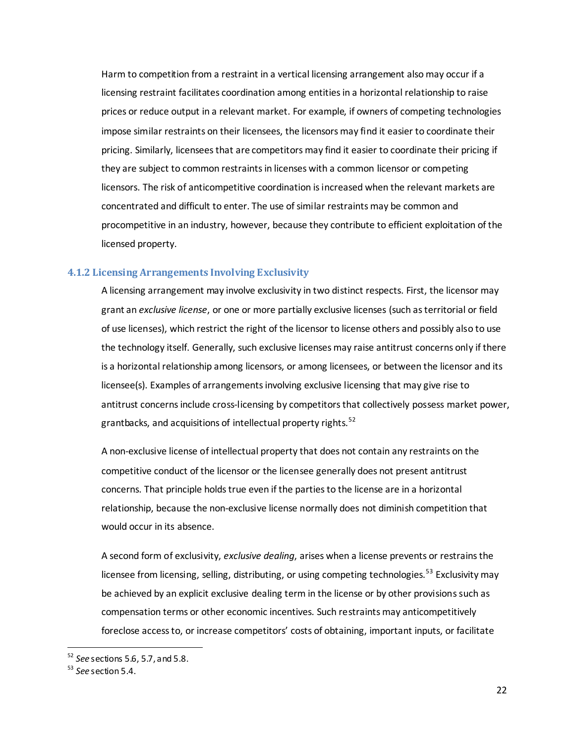Harm to competition from a restraint in a vertical licensing arrangement also may occur if a licensing restraint facilitates coordination among entities in a horizontal relationship to raise prices or reduce output in a relevant market. For example, if owners of competing technologies impose similar restraints on their licensees, the licensors may find it easier to coordinate their pricing. Similarly, licensees that are competitors may find it easier to coordinate their pricing if they are subject to common restraints in licenses with a common licensor or competing licensors. The risk of anticompetitive coordination is increased when the relevant markets are concentrated and difficult to enter. The use of similar restraints may be common and procompetitive in an industry, however, because they contribute to efficient exploitation of the licensed property.

### <span id="page-21-0"></span>**4.1.2 Licensing Arrangements Involving Exclusivity**

A licensing arrangement may involve exclusivity in two distinct respects. First, the licensor may grant an *exclusive license*, or one or more partially exclusive licenses (such as territorial or field of use licenses), which restrict the right of the licensor to license others and possibly also to use the technology itself. Generally, such exclusive licenses may raise antitrust concerns only if there is a horizontal relationship among licensors, or among licensees, or between the licensor and its licensee(s). Examples of arrangements involving exclusive licensing that may give rise to antitrust concerns include cross-licensing by competitors that collectively possess market power, grantbacks, and acquisitions of intellectual property rights.<sup>[52](#page-21-1)</sup>

A non-exclusive license of intellectual property that does not contain any restraints on the competitive conduct of the licensor or the licensee generally does not present antitrust concerns. That principle holds true even if the parties to the license are in a horizontal relationship, because the non-exclusive license normally does not diminish competition that would occur in its absence.

A second form of exclusivity, *exclusive dealing*, arises when a license prevents or restrains the licensee from licensing, selling, distributing, or using competing technologies.<sup>[53](#page-21-2)</sup> Exclusivity may be achieved by an explicit exclusive dealing term in the license or by other provisions such as compensation terms or other economic incentives. Such restraints may anticompetitively foreclose access to, or increase competitors' costs of obtaining, important inputs, or facilitate

<span id="page-21-1"></span><sup>52</sup> *See* sections 5.6, 5.7, and 5.8.

<span id="page-21-2"></span><sup>53</sup> *See* section 5.4.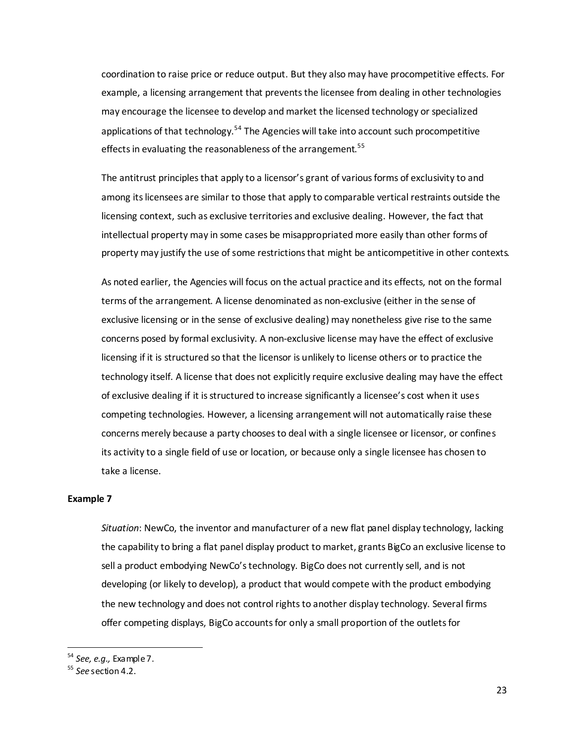coordination to raise price or reduce output. But they also may have procompetitive effects. For example, a licensing arrangement that prevents the licensee from dealing in other technologies may encourage the licensee to develop and market the licensed technology or specialized applications of that technology.<sup>[54](#page-22-0)</sup> The Agencies will take into account such procompetitive effects in evaluating the reasonableness of the arrangement.<sup>55</sup>

The antitrust principles that apply to a licensor's grant of various forms of exclusivity to and among its licensees are similar to those that apply to comparable vertical restraints outside the licensing context, such as exclusive territories and exclusive dealing. However, the fact that intellectual property may in some cases be misappropriated more easily than other forms of property may justify the use of some restrictions that might be anticompetitive in other contexts.

As noted earlier, the Agencies will focus on the actual practice and its effects, not on the formal terms of the arrangement. A license denominated as non-exclusive (either in the sense of exclusive licensing or in the sense of exclusive dealing) may nonetheless give rise to the same concerns posed by formal exclusivity. A non-exclusive license may have the effect of exclusive licensing if it is structured so that the licensor is unlikely to license others or to practice the technology itself. A license that does not explicitly require exclusive dealing may have the effect of exclusive dealing if it is structured to increase significantly a licensee's cost when it uses competing technologies. However, a licensing arrangement will not automatically raise these concerns merely because a party chooses to deal with a single licensee or licensor, or confines its activity to a single field of use or location, or because only a single licensee has chosen to take a license.

### **Example 7**

*Situation*: NewCo, the inventor and manufacturer of a new flat panel display technology, lacking the capability to bring a flat panel display product to market, grants BigCo an exclusive license to sell a product embodying NewCo's technology. BigCo does not currently sell, and is not developing (or likely to develop), a product that would compete with the product embodying the new technology and does not control rights to another display technology. Several firms offer competing displays, BigCo accounts for only a small proportion of the outlets for

<sup>54</sup> *See, e.g.,* Example 7.

<span id="page-22-1"></span><span id="page-22-0"></span><sup>55</sup> *See* section 4.2.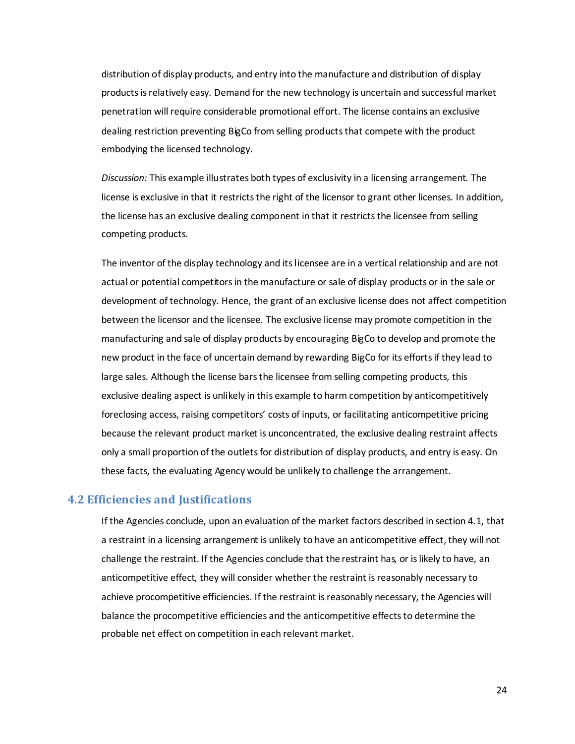distribution of display products, and entry into the manufacture and distribution of display products is relatively easy. Demand for the new technology is uncertain and successful market penetration will require considerable promotional effort. The license contains an exclusive dealing restriction preventing BigCo from selling products that compete with the product embodying the licensed technology.

*Discussion:* This example illustrates both types of exclusivity in a licensing arrangement. The license is exclusive in that it restricts the right of the licensor to grant other licenses. In addition, the license has an exclusive dealing component in that it restricts the licensee from selling competing products.

The inventor of the display technology and its licensee are in a vertical relationship and are not actual or potential competitors in the manufacture or sale of display products or in the sale or development of technology. Hence, the grant of an exclusive license does not affect competition between the licensor and the licensee. The exclusive license may promote competition in the manufacturing and sale of display products by encouraging BigCo to develop and promote the new product in the face of uncertain demand by rewarding BigCo for its efforts if they lead to large sales. Although the license bars the licensee from selling competing products, this exclusive dealing aspect is unlikely in this example to harm competition by anticompetitively foreclosing access, raising competitors' costs of inputs, or facilitating anticompetitive pricing because the relevant product market is unconcentrated, the exclusive dealing restraint affects only a small proportion of the outlets for distribution of display products, and entry is easy. On these facts, the evaluating Agency would be unlikely to challenge the arrangement.

### <span id="page-23-0"></span>**4.2 Efficiencies and Justifications**

If the Agencies conclude, upon an evaluation of the market factors described in section 4.1, that a restraint in a licensing arrangement is unlikely to have an anticompetitive effect, they will not challenge the restraint. If the Agencies conclude that the restraint has, or is likely to have, an anticompetitive effect, they will consider whether the restraint is reasonably necessary to achieve procompetitive efficiencies. If the restraint is reasonably necessary, the Agencies will balance the procompetitive efficiencies and the anticompetitive effects to determine the probable net effect on competition in each relevant market.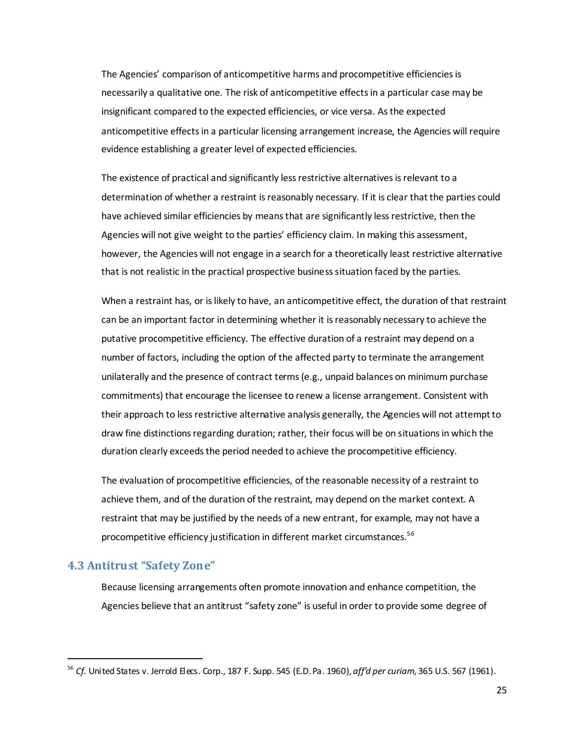The Agencies' comparison of anticompetitive harms and procompetitive efficiencies is necessarily a qualitative one. The risk of anticompetitive effects in a particular case may be insignificant compared to the expected efficiencies, or vice versa. As the expected anticompetitive effects in a particular licensing arrangement increase, the Agencies will require evidence establishing a greater level of expected efficiencies.

The existence of practical and significantly less restrictive alternatives is relevant to a determination of whether a restraint is reasonably necessary. If it is clear that the parties could have achieved similar efficiencies by means that are significantly less restrictive, then the Agencies will not give weight to the parties' efficiency claim. In making this assessment, however, the Agencies will not engage in a search for a theoretically least restrictive alternative that is not realistic in the practical prospective business situation faced by the parties.

When a restraint has, or is likely to have, an anticompetitive effect, the duration of that restraint can be an important factor in determining whether it is reasonably necessary to achieve the putative procompetitive efficiency. The effective duration of a restraint may depend on a number of factors, including the option of the affected party to terminate the arrangement unilaterally and the presence of contract terms (e.g., unpaid balances on minimum purchase commitments) that encourage the licensee to renew a license arrangement. Consistent with their approach to less restrictive alternative analysis generally, the Agencies will not attempt to draw fine distinctions regarding duration; rather, their focus will be on situations in which the duration clearly exceeds the period needed to achieve the procompetitive efficiency.

The evaluation of procompetitive efficiencies, of the reasonable necessity of a restraint to achieve them, and of the duration of the restraint, may depend on the market context. A restraint that may be justified by the needs of a new entrant, for example, may not have a procompetitive efficiency justification in different market circumstances.<sup>56</sup>

### <span id="page-24-0"></span>**4.3 Antitrust "Safety Zone"**

 $\overline{a}$ 

Because licensing arrangements often promote innovation and enhance competition, the Agencies believe that an antitrust "safety zone" is useful in order to provide some degree of

<span id="page-24-1"></span><sup>56</sup> *Cf.* United States v. Jerrold Elecs. Corp., 187 F. Supp. 545 (E.D. Pa. 1960), *aff'd per curiam,* 365 U.S. 567 (1961).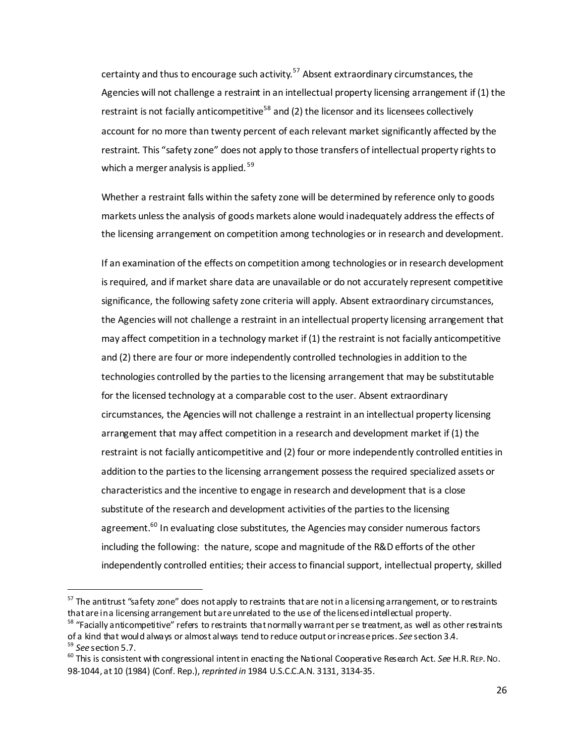certainty and thus to encourage such activity.<sup>[57](#page-25-0)</sup> Absent extraordinary circumstances, the Agencies will not challenge a restraint in an intellectual property licensing arrangement if (1) the restraint is not facially anticompetitive<sup>[58](#page-25-1)</sup> and (2) the licensor and its licensees collectively account for no more than twenty percent of each relevant market significantly affected by the restraint. This "safety zone" does not apply to those transfers of intellectual property rights to which a merger analysis is applied.  $59$ 

Whether a restraint falls within the safety zone will be determined by reference only to goods markets unless the analysis of goods markets alone would inadequately address the effects of the licensing arrangement on competition among technologies or in research and development.

If an examination of the effects on competition among technologies or in research development is required, and if market share data are unavailable or do not accurately represent competitive significance, the following safety zone criteria will apply. Absent extraordinary circumstances, the Agencies will not challenge a restraint in an intellectual property licensing arrangement that may affect competition in a technology market if (1) the restraint is not facially anticompetitive and (2) there are four or more independently controlled technologies in addition to the technologies controlled by the parties to the licensing arrangement that may be substitutable for the licensed technology at a comparable cost to the user. Absent extraordinary circumstances, the Agencies will not challenge a restraint in an intellectual property licensing arrangement that may affect competition in a research and development market if (1) the restraint is not facially anticompetitive and (2) four or more independently controlled entities in addition to the parties to the licensing arrangement possess the required specialized assets or characteristics and the incentive to engage in research and development that is a close substitute of the research and development activities of the parties to the licensing agreement.<sup>60</sup> In evaluating close substitutes, the Agencies may consider numerous factors including the following: the nature, scope and magnitude of the R&D efforts of the other independently controlled entities; their access to financial support, intellectual property, skilled

<span id="page-25-0"></span><sup>&</sup>lt;sup>57</sup> The antitrust "safety zone" does not apply to restraints that are not in a licensing arrangement, or to restraints that are in a licensing arrangement but are unrelated to the use of the licensed intellectual property.

<span id="page-25-1"></span><sup>&</sup>lt;sup>58</sup> "Facially anticompetitive" refers to restraints that normally warrant per se treatment, as well as other restraints<br>of a kind that would always or almost always tend to reduce output or increase prices. See section 3.

<span id="page-25-3"></span><span id="page-25-2"></span><sup>&</sup>lt;sup>59</sup> See section 5.7.<br><sup>60</sup> This is consistent with congressional intent in enacting the National Cooperative Research Act. See H.R. REP. No. 98-1044, at 10 (1984) (Conf. Rep.), *reprinted in* 1984 U.S.C.C.A.N. 3131, 3134-35.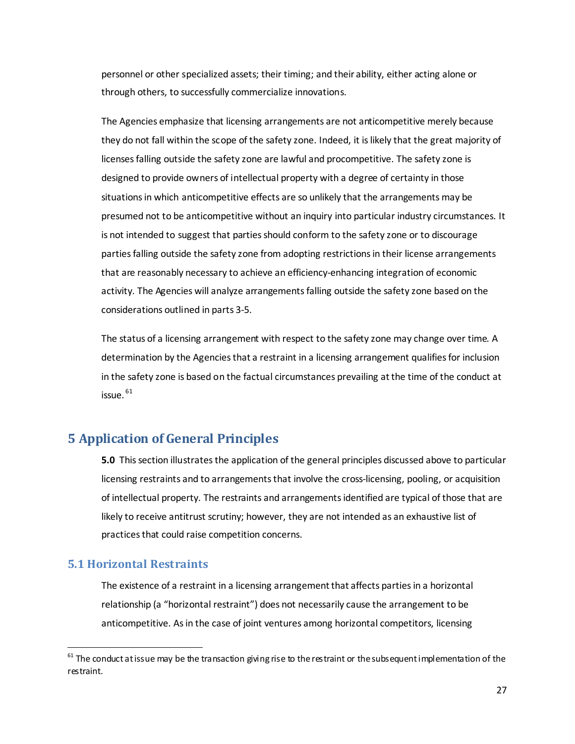personnel or other specialized assets; their timing; and their ability, either acting alone or through others, to successfully commercialize innovations.

The Agencies emphasize that licensing arrangements are not anticompetitive merely because they do not fall within the scope of the safety zone. Indeed, it is likely that the great majority of licensesfalling outside the safety zone are lawful and procompetitive. The safety zone is designed to provide owners of intellectual property with a degree of certainty in those situations in which anticompetitive effects are so unlikely that the arrangements may be presumed not to be anticompetitive without an inquiry into particular industry circumstances. It is not intended to suggest that parties should conform to the safety zone or to discourage parties falling outside the safety zone from adopting restrictions in their license arrangements that are reasonably necessary to achieve an efficiency-enhancing integration of economic activity. The Agencies will analyze arrangements falling outside the safety zone based on the considerations outlined in parts 3-5.

The status of a licensing arrangement with respect to the safety zone may change over time. A determination by the Agencies that a restraint in a licensing arrangement qualifies for inclusion in the safety zone is based on the factual circumstances prevailing at the time of the conduct at issue.<sup>[61](#page-26-2)</sup>

# <span id="page-26-0"></span>**5 Application of General Principles**

**5.0** This section illustrates the application of the general principles discussed above to particular licensing restraints and to arrangements that involve the cross-licensing, pooling, or acquisition of intellectual property. The restraints and arrangements identified are typical of those that are likely to receive antitrust scrutiny; however, they are not intended as an exhaustive list of practices that could raise competition concerns.

# <span id="page-26-1"></span>**5.1 Horizontal Restraints**

 $\overline{a}$ 

The existence of a restraint in a licensing arrangement that affects parties in a horizontal relationship (a "horizontal restraint") does not necessarily cause the arrangement to be anticompetitive. As in the case of joint ventures among horizontal competitors, licensing

<span id="page-26-2"></span> $61$  The conduct at issue may be the transaction giving rise to the restraint or the subsequent implementation of the restraint.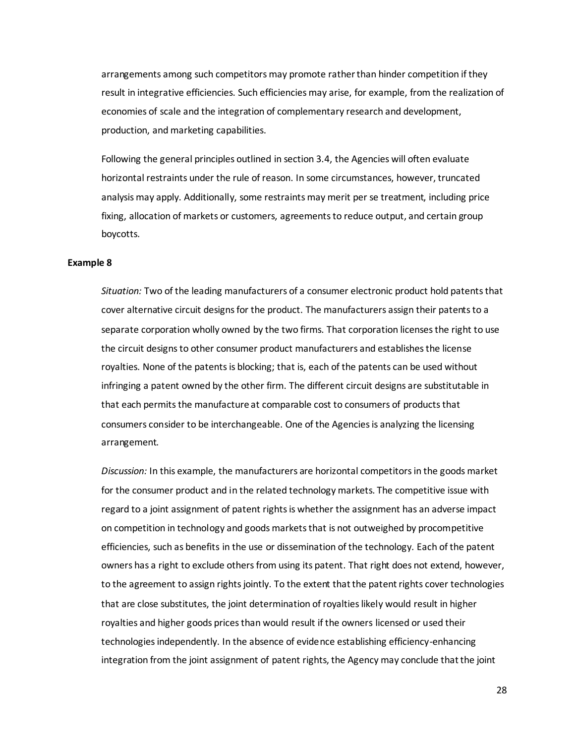arrangements among such competitors may promote rather than hinder competition if they result in integrative efficiencies. Such efficiencies may arise, for example, from the realization of economies of scale and the integration of complementary research and development, production, and marketing capabilities.

Following the general principles outlined in section 3.4, the Agencies will often evaluate horizontal restraints under the rule of reason. In some circumstances, however, truncated analysis may apply. Additionally, some restraints may merit per se treatment, including price fixing, allocation of markets or customers, agreements to reduce output, and certain group boycotts.

#### **Example 8**

*Situation:* Two of the leading manufacturers of a consumer electronic product hold patents that cover alternative circuit designs for the product. The manufacturers assign their patents to a separate corporation wholly owned by the two firms. That corporation licenses the right to use the circuit designs to other consumer product manufacturers and establishes the license royalties. None of the patents is blocking; that is, each of the patents can be used without infringing a patent owned by the other firm. The different circuit designs are substitutable in that each permits the manufacture at comparable cost to consumers of productsthat consumers consider to be interchangeable. One of the Agencies is analyzing the licensing arrangement.

*Discussion:* In this example, the manufacturers are horizontal competitors in the goods market for the consumer product and in the related technology markets. The competitive issue with regard to a joint assignment of patent rights is whether the assignment has an adverse impact on competition in technology and goods markets that is not outweighed by procompetitive efficiencies, such as benefits in the use or dissemination of the technology. Each of the patent owners has a right to exclude others from using its patent. That right does not extend, however, to the agreement to assign rights jointly. To the extent that the patent rights cover technologies that are close substitutes, the joint determination of royalties likely would result in higher royalties and higher goods prices than would result if the owners licensed or used their technologies independently. In the absence of evidence establishing efficiency-enhancing integration from the joint assignment of patent rights, the Agency may conclude that the joint

28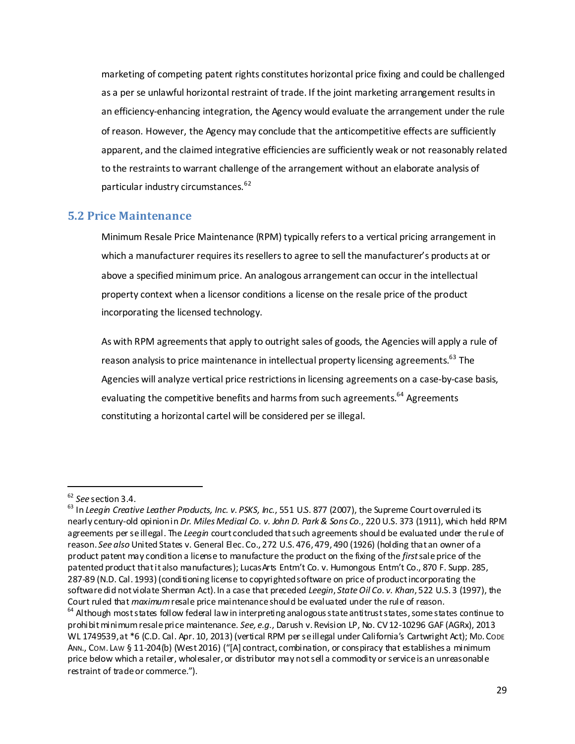marketing of competing patent rights constitutes horizontal price fixing and could be challenged as a per se unlawful horizontal restraint of trade. If the joint marketing arrangement results in an efficiency-enhancing integration, the Agency would evaluate the arrangement under the rule of reason. However, the Agency may conclude that the anticompetitive effects are sufficiently apparent, and the claimed integrative efficiencies are sufficiently weak or not reasonably related to the restraints to warrant challenge of the arrangement without an elaborate analysis of particular industry circumstances.<sup>[62](#page-28-1)</sup>

### <span id="page-28-0"></span>**5.2 Price Maintenance**

Minimum Resale Price Maintenance (RPM) typically refers to a vertical pricing arrangement in which a manufacturer requires its resellers to agree to sell the manufacturer's products at or above a specified minimum price. An analogous arrangement can occur in the intellectual property context when a licensor conditions a license on the resale price of the product incorporating the licensed technology.

As with RPM agreements that apply to outright sales of goods, the Agencies will apply a rule of reason analysis to price maintenance in intellectual property licensing agreements.<sup>63</sup> The Agencies will analyze vertical price restrictions in licensing agreements on a case-by-case basis, evaluating the competitive benefits and harms from such agreements.<sup>64</sup> Agreements constituting a horizontal cartel will be considered per se illegal.

<span id="page-28-2"></span><span id="page-28-1"></span><sup>&</sup>lt;sup>62</sup> See section 3.4.<br><sup>63</sup> In *Leegin Creative Leather Products, Inc. v. PSKS, Inc.*, 551 U.S. 877 (2007), the Supreme Court overruled its nearly century-old opinion in *Dr. Miles Medical Co. v. John D. Park & Sons Co.*, 220 U.S. 373 (1911), which held RPM agreements per se illegal. The *Leegin* court concluded that such agreements should be evaluated under the rule of reason. *See also* United States v. General Elec. Co., 272 U.S. 476, 479, 490 (1926) (holding that an owner of a product patent may condition a license to manufacture the product on the fixing of the *first* sale price of the patented product that it also manufactures); LucasArts Entm't Co. v. Humongous Entm't Co., 870 F. Supp. 285, 287-89 (N.D. Cal. 1993) (conditioning license to copyrightedsoftware on price of product incorporating the software did not violate Sherman Act). In a case that preceded *Leegin*, *State Oil Co. v. Khan*, 522 U.S. 3 (1997), the Court ruled that *maximum* resale price maintenance should be evaluated under the rule of reason.<br><sup>64</sup> Although most states follow federal law in interpreting analogous state antitrust states, some states continue to

<span id="page-28-3"></span>prohibit minimum resale price maintenance. *See, e.g.*, Darush v. Revision LP, No. CV 12-10296 GAF (AGRx), 2013 WL 1749539, at \*6 (C.D. Cal. Apr. 10, 2013) (vertical RPM per se illegal under California's Cartwright Act); MD. CODE ANN., COM. LAW § 11-204(b) (West 2016) ("[A] contract, combination, or conspiracy that establishes a minimum price below which a retailer, wholesaler, or distributor may not sell a commodity or service is an unreasonable restraint of trade or commerce.").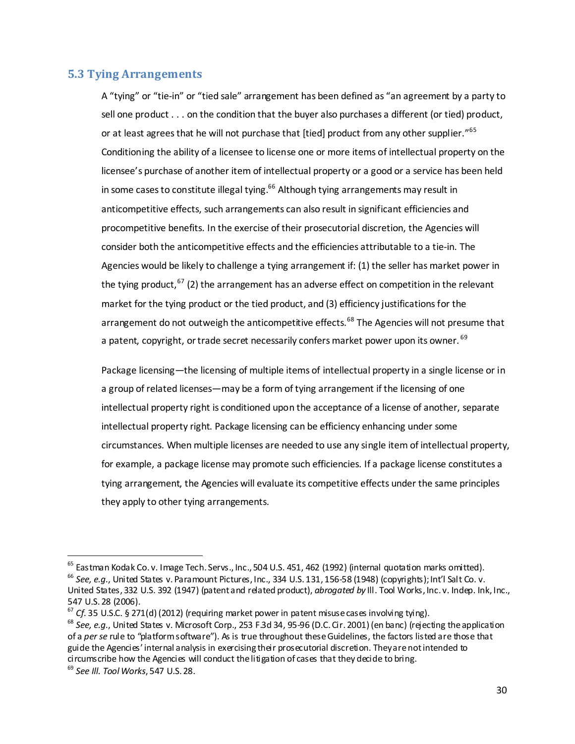### <span id="page-29-0"></span>**5.3 Tying Arrangements**

A "tying" or "tie-in" or "tied sale" arrangement has been defined as "an agreement by a party to sell one product . . . on the condition that the buyer also purchases a different (or tied) product, or at least agrees that he will not purchase that [tied] product from any other supplier."<sup>[65](#page-29-1)</sup> Conditioning the ability of a licensee to license one or more items of intellectual property on the licensee's purchase of another item of intellectual property or a good or a service has been held in some cases to constitute illegal tying.<sup>[66](#page-29-2)</sup> Although tying arrangements may result in anticompetitive effects, such arrangements can also result in significant efficiencies and procompetitive benefits. In the exercise of their prosecutorial discretion, the Agencies will consider both the anticompetitive effects and the efficiencies attributable to a tie-in. The Agencies would be likely to challenge a tying arrangement if: (1) the seller has market power in the tying product,  $67$  (2) the arrangement has an adverse effect on competition in the relevant market for the tying product or the tied product, and (3) efficiency justifications for the arrangement do not outweigh the anticompetitive effects.<sup>[68](#page-29-4)</sup> The Agencies will not presume that a patent, copyright, or trade secret necessarily confers market power upon its owner. <sup>[69](#page-29-5)</sup>

Package licensing—the licensing of multiple items of intellectual property in a single license or in a group of related licenses—may be a form of tying arrangement if the licensing of one intellectual property right is conditioned upon the acceptance of a license of another, separate intellectual property right. Package licensing can be efficiency enhancing under some circumstances. When multiple licenses are needed to use any single item of intellectual property, for example, a package license may promote such efficiencies. If a package license constitutes a tying arrangement, the Agencies will evaluate its competitive effects under the same principles they apply to other tying arrangements.

<span id="page-29-2"></span><span id="page-29-1"></span> $65$  Eastman Kodak Co. v. Image Tech. Servs., Inc., 504 U.S. 451, 462 (1992) (internal quotation marks omitted). <sup>66</sup> See, e.g., United States v. Paramount Pictures, Inc., 334 U.S. 131, 156-58 (1948) (copyrights); Int'l Salt Co. v. United States, 332 U.S. 392 (1947) (patent and related product), *abrogated by* Ill. Tool Works, Inc. v. Indep. Ink, Inc., 547 U.S. 28 (2006).

<span id="page-29-3"></span><sup>&</sup>lt;sup>67</sup> *Cf.* 35 U.S.C. § 271(d) (2012) (requiring market power in patent misuse cases involving tying).

<span id="page-29-4"></span><sup>&</sup>lt;sup>68</sup> See, e.g., United States v. Microsoft Corp., 253 F.3d 34, 95-96 (D.C. Cir. 2001) (en banc) (rejecting the application of a *per se* rule to "platform software"). As is true throughout these Guidelines, the factors listed are those that guide the Agencies' internal analysis in exercising their prosecutorial discretion. They are not intended to circumscribe how the Agencies will conduct the litigation of cases that they decide to bring.

<span id="page-29-5"></span><sup>69</sup> *See Ill. Tool Works*, 547 U.S. 28.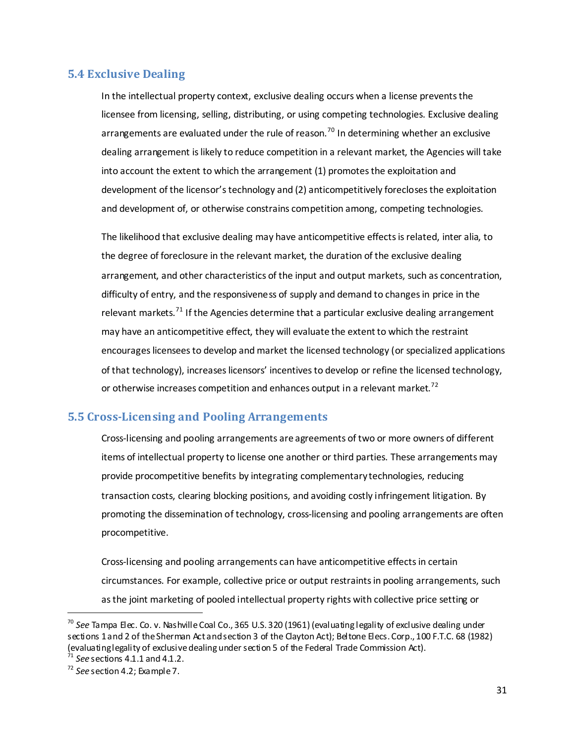### <span id="page-30-0"></span>**5.4 Exclusive Dealing**

In the intellectual property context, exclusive dealing occurs when a license prevents the licensee from licensing, selling, distributing, or using competing technologies. Exclusive dealing arrangements are evaluated under the rule of reason.<sup>[70](#page-30-2)</sup> In determining whether an exclusive dealing arrangement is likely to reduce competition in a relevant market, the Agencies will take into account the extent to which the arrangement (1) promotes the exploitation and development of the licensor's technology and (2) anticompetitively forecloses the exploitation and development of, or otherwise constrains competition among, competing technologies.

The likelihood that exclusive dealing may have anticompetitive effects is related, inter alia, to the degree of foreclosure in the relevant market, the duration of the exclusive dealing arrangement, and other characteristics of the input and output markets, such as concentration, difficulty of entry, and the responsiveness of supply and demand to changes in price in the relevant markets.<sup>[71](#page-30-3)</sup> If the Agencies determine that a particular exclusive dealing arrangement may have an anticompetitive effect, they will evaluate the extent to which the restraint encourages licensees to develop and market the licensed technology (or specialized applications of that technology), increases licensors' incentives to develop or refine the licensed technology, or otherwise increases competition and enhances output in a relevant market.<sup>[72](#page-30-4)</sup>

# <span id="page-30-1"></span>**5.5 Cross-Licensing and Pooling Arrangements**

Cross-licensing and pooling arrangements are agreements of two or more owners of different items of intellectual property to license one another or third parties. These arrangements may provide procompetitive benefits by integrating complementary technologies, reducing transaction costs, clearing blocking positions, and avoiding costly infringement litigation. By promoting the dissemination of technology, cross-licensing and pooling arrangements are often procompetitive.

Cross-licensing and pooling arrangements can have anticompetitive effects in certain circumstances. For example, collective price or output restraints in pooling arrangements, such as the joint marketing of pooled intellectual property rights with collective price setting or

<span id="page-30-2"></span> <sup>70</sup> *See* Tampa Elec. Co. v. Nashville Coal Co., 365 U.S. 320 (1961) (evaluating legality of exclusive dealing under sections 1 and 2 of the Sherman Act and section 3 of the Clayton Act); Beltone Elecs. Corp., 100 F.T.C. 68 (1982) (evaluating legality of exclusive dealing under section 5 of the Federal Trade Commission Act). <sup>71</sup> *See* sections 4.1.1 and 4.1.2.

<span id="page-30-3"></span>

<span id="page-30-4"></span><sup>72</sup> *See* section 4.2; Example 7.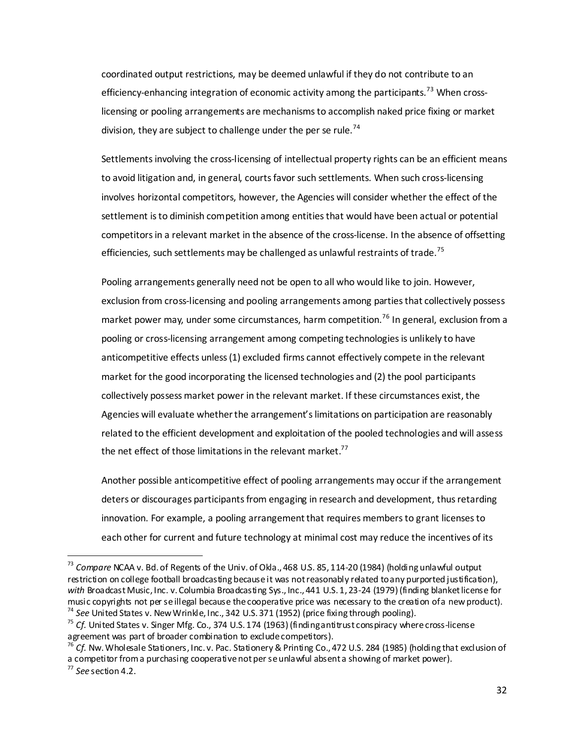coordinated output restrictions, may be deemed unlawful if they do not contribute to an efficiency-enhancing integration of economic activity among the participants.<sup>[73](#page-31-0)</sup> When crosslicensing or pooling arrangements are mechanisms to accomplish naked price fixing or market division, they are subject to challenge under the per se rule.<sup>[74](#page-31-1)</sup>

Settlements involving the cross-licensing of intellectual property rights can be an efficient means to avoid litigation and, in general, courts favor such settlements. When such cross-licensing involves horizontal competitors, however, the Agencies will consider whether the effect of the settlement is to diminish competition among entities that would have been actual or potential competitors in a relevant market in the absence of the cross-license. In the absence of offsetting efficiencies, such settlements may be challenged as unlawful restraints of trade.<sup>[75](#page-31-2)</sup>

Pooling arrangements generally need not be open to all who would like to join. However, exclusion from cross-licensing and pooling arrangements among parties that collectively possess market power may, under some circumstances, harm competition.<sup>[76](#page-31-3)</sup> In general, exclusion from a pooling or cross-licensing arrangement among competing technologies is unlikely to have anticompetitive effects unless (1) excluded firms cannot effectively compete in the relevant market for the good incorporating the licensed technologies and (2) the pool participants collectively possess market power in the relevant market. If these circumstances exist, the Agencies will evaluate whether the arrangement's limitations on participation are reasonably related to the efficient development and exploitation of the pooled technologies and will assess the net effect of those limitations in the relevant market.<sup>77</sup>

Another possible anticompetitive effect of pooling arrangements may occur if the arrangement deters or discourages participants from engaging in research and development, thus retarding innovation. For example, a pooling arrangement that requires members to grant licenses to each other for current and future technology at minimal cost may reduce the incentives of its

<span id="page-31-0"></span> <sup>73</sup> *Compare* NCAA v. Bd. of Regents of the Univ. of Okla., 468 U.S. 85, 114-20 (1984) (holding unlawful output restriction on college football broadcasting because it was not reasonably related to any purported justification), *with* Broadcast Music, Inc. v. Columbia Broadcasting Sys., Inc., 441 U.S. 1, 23-24 (1979) (finding blanket license for music copyrights not per se illegal because the cooperative price was necessary to the creation of a new product).<br><sup>74</sup> *See* United States v. New Wrinkle, Inc., 342 U.S. 371 (1952) (price fixing through pooling).

<span id="page-31-2"></span><span id="page-31-1"></span><sup>&</sup>lt;sup>75</sup> *Cf.* United States v. Singer Mfg. Co., 374 U.S. 174 (1963) (finding antitrust conspiracy where cross-license agreement was part of broader combination to exclude competitors).

<span id="page-31-3"></span><sup>76</sup> *Cf.* Nw.Wholesale Stationers, Inc. v. Pac. Stationery & Printing Co., 472 U.S. 284 (1985) (holding that exclusion of a competitor from a purchasing cooperative not per se unlawful absent a showing of market power).

<span id="page-31-4"></span><sup>77</sup> *See* section 4.2.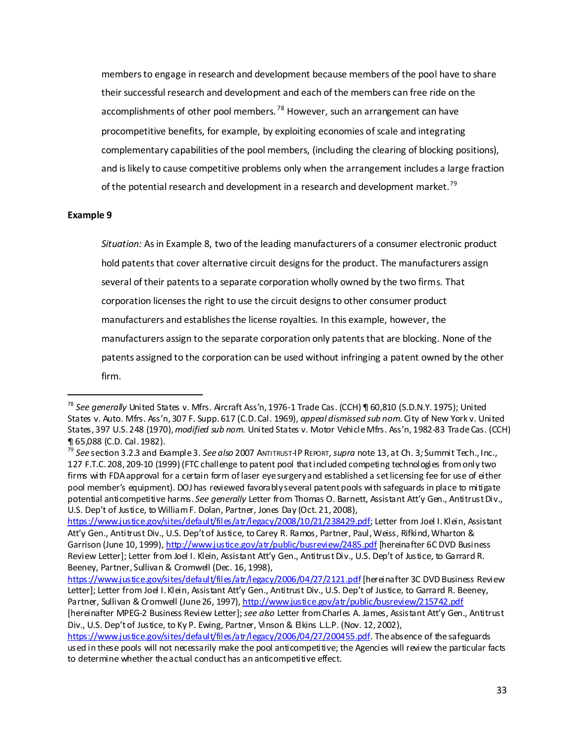members to engage in research and development because members of the pool have to share their successful research and development and each of the members can free ride on the accomplishments of other pool members.<sup>[78](#page-32-0)</sup> However, such an arrangement can have procompetitive benefits, for example, by exploiting economies of scale and integrating complementary capabilities of the pool members, (including the clearing of blocking positions), and is likely to cause competitive problems only when the arrangement includes a large fraction of the potential research and development in a research and development market.<sup>[79](#page-32-1)</sup>

### **Example 9**

*Situation:* As in Example 8, two of the leading manufacturers of a consumer electronic product hold patents that cover alternative circuit designs for the product. The manufacturers assign several of their patents to a separate corporation wholly owned by the two firms. That corporation licenses the right to use the circuit designs to other consumer product manufacturers and establishes the license royalties. In this example, however, the manufacturers assign to the separate corporation only patents that are blocking. None of the patents assigned to the corporation can be used without infringing a patent owned by the other firm.

<span id="page-32-0"></span> <sup>78</sup> *See generally* United States v. Mfrs. Aircraft Ass'n, 1976-1 Trade Cas. (CCH) ¶ 60,810 (S.D.N.Y. 1975); United States v. Auto. Mfrs. Ass'n, 307 F. Supp. 617 (C.D. Cal. 1969), *appeal dismissed sub nom.* City of New York v. United States, 397 U.S. 248 (1970), *modified sub nom.* United States v. Motor Vehicle Mfrs. Ass'n, 1982-83 Trade Cas. (CCH) ¶ 65,088 (C.D. Cal. 1982).

<span id="page-32-1"></span><sup>79</sup> *See* section 3.2.3 and Example 3. *See also* 2007 ANTITRUST-IP REPORT, *supra* note 13, at Ch. 3*;* Summit Tech., Inc., 127 F.T.C. 208, 209-10 (1999) (FTC challenge to patent pool that included competing technologies from only two firms with FDA approval for a certain form of laser eye surgery and established a set licensing fee for use of either pool member's equipment). DOJ has reviewed favorably several patent pools with safeguards in place to mitigate potential anticompetitive harms. *See generally* Letter from Thomas O. Barnett, Assistant Att'y Gen., Antitrust Div., U.S. Dep't of Justice, to William F. Dolan, Partner, Jones Day (Oct. 21, 2008),

[https://www.justice.gov/sites/default/files/atr/legacy/2008/10/21/238429.pdf;](https://www.justice.gov/sites/default/files/atr/legacy/2008/10/21/238429.pdf) Letter from Joel I. Klein, Assistant Att'y Gen., Antitrust Div., U.S. Dep't of Justice, to Carey R. Ramos, Partner, Paul, Weiss, Rifkind, Wharton & Garrison (June 10, 1999)[, http://www.justice.gov/atr/public/busreview/2485.pdf](http://www.justice.gov/atr/public/busreview/2485.pdf) [hereinafter 6C DVD Business Review Letter]; Letter from Joel I. Klein, Assistant Att'y Gen., Antitrust Div., U.S. Dep't of Justice, to Garrard R. Beeney, Partner, Sullivan & Cromwell (Dec. 16, 1998),

<https://www.justice.gov/sites/default/files/atr/legacy/2006/04/27/2121.pdf> [hereinafter 3C DVD Business Review Letter]; Letter from Joel I. Klein, Assistant Att'y Gen., Antitrust Div., U.S. Dep't of Justice, to Garrard R. Beeney, Partner, Sullivan & Cromwell (June 26, 1997)[, http://www.justice.gov/atr/public/busreview/215742.pdf](http://www.justice.gov/atr/public/busreview/215742.pdf) [hereinafter MPEG-2 Business Review Letter]; *see also* Letter from Charles A. James, Assistant Att'y Gen., Antitrust

Div., U.S. Dep't of Justice, to Ky P. Ewing, Partner, Vinson & Elkins L.L.P. (Nov. 12, 2002),

[https://www.justice.gov/sites/default/files/atr/legacy/2006/04/27/200455.pdf.](https://www.justice.gov/sites/default/files/atr/legacy/2006/04/27/200455.pdf) The absence of the safeguards used in these pools will not necessarily make the pool anticompetitive; the Agencies will review the particular facts to determine whether the actual conduct has an anticompetitive effect.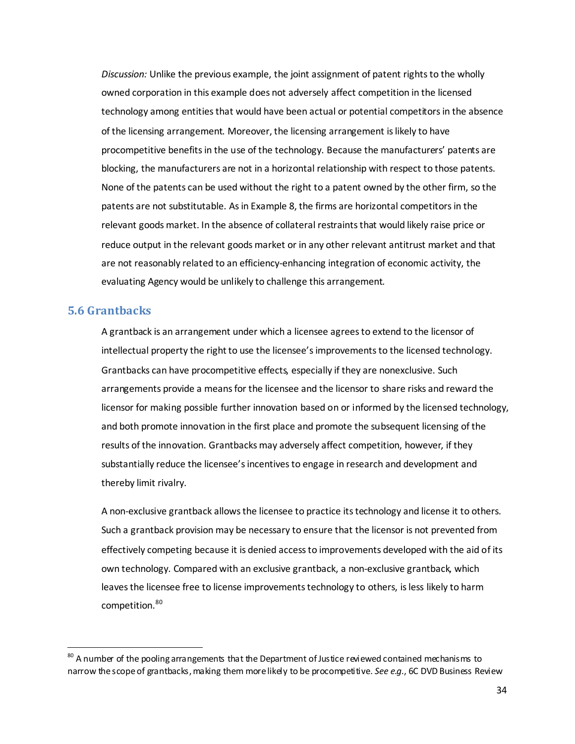*Discussion:* Unlike the previous example, the joint assignment of patent rights to the wholly owned corporation in this example does not adversely affect competition in the licensed technology among entities that would have been actual or potential competitors in the absence of the licensing arrangement. Moreover, the licensing arrangement is likely to have procompetitive benefits in the use of the technology. Because the manufacturers' patents are blocking, the manufacturers are not in a horizontal relationship with respect to those patents. None of the patents can be used without the right to a patent owned by the other firm, so the patents are not substitutable. As in Example 8, the firms are horizontal competitors in the relevant goods market. In the absence of collateral restraints that would likely raise price or reduce output in the relevant goods market or in any other relevant antitrust market and that are not reasonably related to an efficiency-enhancing integration of economic activity, the evaluating Agency would be unlikely to challenge this arrangement.

### <span id="page-33-0"></span>**5.6 Grantbacks**

A grantback is an arrangement under which a licensee agrees to extend to the licensor of intellectual property the right to use the licensee's improvements to the licensed technology. Grantbacks can have procompetitive effects, especially if they are nonexclusive. Such arrangements provide a means for the licensee and the licensor to share risks and reward the licensor for making possible further innovation based on or informed by the licensed technology, and both promote innovation in the first place and promote the subsequent licensing of the results of the innovation. Grantbacks may adversely affect competition, however, if they substantially reduce the licensee's incentives to engage in research and development and thereby limit rivalry.

A non-exclusive grantback allows the licensee to practice its technology and license it to others. Such a grantback provision may be necessary to ensure that the licensor is not prevented from effectively competing because it is denied access to improvements developed with the aid of its own technology. Compared with an exclusive grantback, a non-exclusive grantback, which leaves the licensee free to license improvements technology to others, is less likely to harm competition. [80](#page-33-1)

<span id="page-33-1"></span><sup>&</sup>lt;sup>80</sup> A number of the pooling arrangements that the Department of Justice reviewed contained mechanisms to narrow the scope of grantbacks, making them more likely to be procompetitive. *See e.g.*, 6C DVD Business Review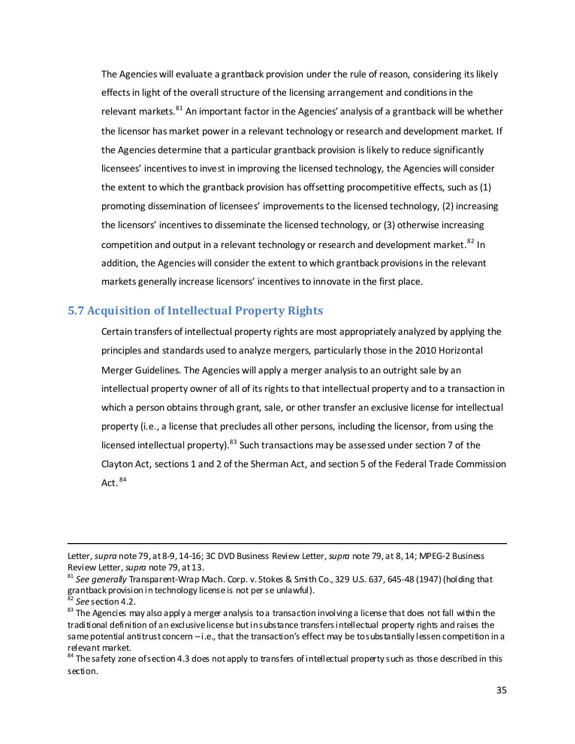The Agencies will evaluate a grantback provision under the rule of reason, considering its likely effects in light of the overall structure of the licensing arrangement and conditions in the relevant markets.<sup>[81](#page-34-1)</sup> An important factor in the Agencies' analysis of a grantback will be whether the licensor has market power in a relevant technology or research and development market. If the Agencies determine that a particular grantback provision is likely to reduce significantly licensees' incentives to invest in improving the licensed technology, the Agencies will consider the extent to which the grantback provision has offsetting procompetitive effects, such as (1) promoting dissemination of licensees' improvements to the licensed technology, (2) increasing the licensors' incentives to disseminate the licensed technology, or (3) otherwise increasing competition and output in a relevant technology or research and development market.<sup>[82](#page-34-2)</sup> In addition, the Agencies will consider the extent to which grantback provisions in the relevant markets generally increase licensors' incentives to innovate in the first place.

# <span id="page-34-0"></span>**5.7 Acquisition of Intellectual Property Rights**

Certain transfers of intellectual property rights are most appropriately analyzed by applying the principles and standards used to analyze mergers, particularly those in the 2010 Horizontal Merger Guidelines. The Agencies will apply a merger analysis to an outright sale by an intellectual property owner of all of its rights to that intellectual property and to a transaction in which a person obtains through grant, sale, or other transfer an exclusive license for intellectual property (i.e., a license that precludes all other persons, including the licensor, from using the licensed intellectual property).<sup>[83](#page-34-3)</sup> Such transactions may be assessed under section 7 of the Clayton Act, sections 1 and 2 of the Sherman Act, and section 5 of the Federal Trade Commission Act.  $84$ 

Letter, *supra* note 79, at 8-9, 14-16; 3C DVD Business Review Letter, *supra* note 79, at 8, 14; MPEG-2 Business Review Letter, *supra* note 79, at 13.<br><sup>81</sup> See generally Transparent-Wrap Mach. Corp. v. Stokes & Smith Co., 329 U.S. 637, 645-48 (1947) (holding that

<span id="page-34-1"></span>grantback provision in technology license is not per se unlawful).<br><sup>82</sup> See section 4.2.

<span id="page-34-2"></span>

<span id="page-34-3"></span><sup>&</sup>lt;sup>83</sup> The Agencies may also apply a merger analysis to a transaction involving a license that does not fall within the traditional definition of an exclusive license but in substance transfers intellectual property rights and raises the same potential antitrust concern –i.e., that the transaction's effect may be to substantially lessen competition in a relevant market.

<span id="page-34-4"></span> $84$  The safety zone of section 4.3 does not apply to transfers of intellectual property such as those described in this section.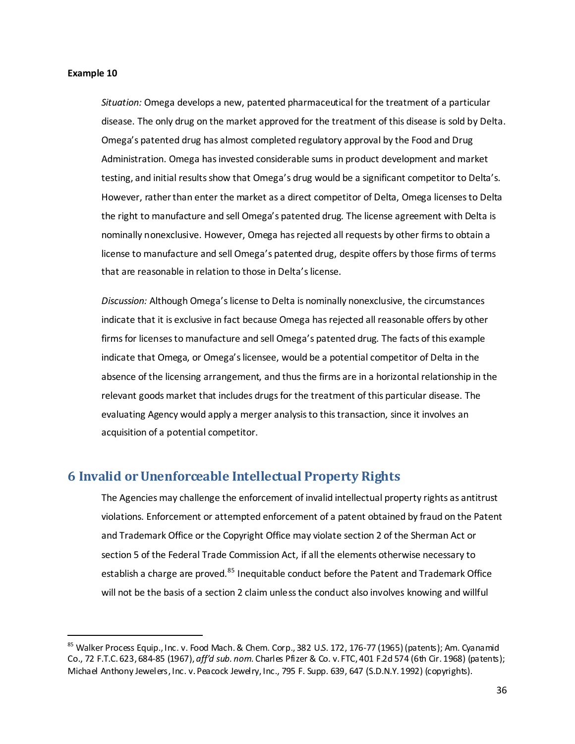### **Example 10**

*Situation:* Omega develops a new, patented pharmaceutical for the treatment of a particular disease. The only drug on the market approved for the treatment of this disease is sold by Delta. Omega's patented drug has almost completed regulatory approval by the Food and Drug Administration. Omega has invested considerable sums in product development and market testing, and initial results show that Omega's drug would be a significant competitor to Delta's. However, rather than enter the market as a direct competitor of Delta, Omega licenses to Delta the right to manufacture and sell Omega's patented drug. The license agreement with Delta is nominally nonexclusive. However, Omega has rejected all requests by other firms to obtain a license to manufacture and sell Omega's patented drug, despite offers by those firms of terms that are reasonable in relation to those in Delta's license.

*Discussion:* Although Omega's license to Delta is nominally nonexclusive, the circumstances indicate that it is exclusive in fact because Omega has rejected all reasonable offers by other firms for licenses to manufacture and sell Omega's patented drug. The facts of this example indicate that Omega, or Omega's licensee, would be a potential competitor of Delta in the absence of the licensing arrangement, and thus the firms are in a horizontal relationship in the relevant goods market that includes drugs for the treatment of this particular disease. The evaluating Agency would apply a merger analysis to this transaction, since it involves an acquisition of a potential competitor.

# <span id="page-35-0"></span>**6 Invalid or Unenforceable Intellectual Property Rights**

The Agencies may challenge the enforcement of invalid intellectual property rights as antitrust violations. Enforcement or attempted enforcement of a patent obtained by fraud on the Patent and Trademark Office or the Copyright Office may violate section 2 of the Sherman Act or section 5 of the Federal Trade Commission Act, if all the elements otherwise necessary to establish a charge are proved.<sup>[85](#page-35-1)</sup> Inequitable conduct before the Patent and Trademark Office will not be the basis of a section 2 claim unless the conduct also involves knowing and willful

<span id="page-35-1"></span><sup>&</sup>lt;sup>85</sup> Walker Process Equip., Inc. v. Food Mach. & Chem. Corp., 382 U.S. 172, 176-77 (1965) (patents); Am. Cyanamid Co., 72 F.T.C. 623, 684-85 (1967), *aff'd sub. nom.* Charles Pfizer & Co. v. FTC, 401 F.2d 574 (6th Cir. 1968) (patents); Michael Anthony Jewelers, Inc. v. Peacock Jewelry, Inc., 795 F. Supp. 639, 647 (S.D.N.Y. 1992) (copyrights).